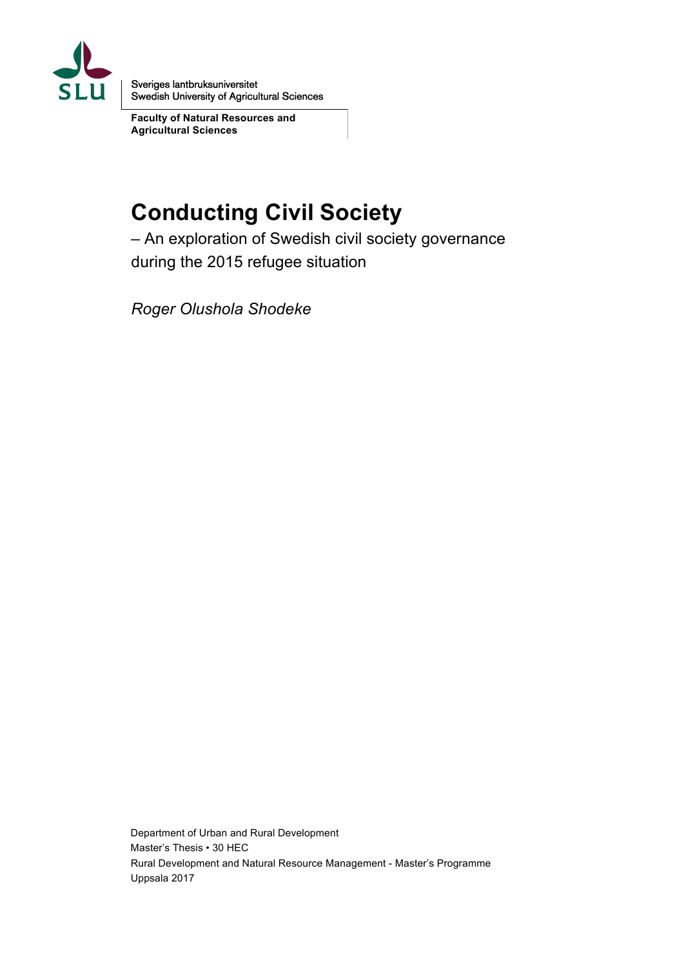

Sveriges lantbruksuniversitet Swedish University of Agricultural Sciences

**Faculty of Natural Resources and Agricultural Sciences** 

# **Conducting Civil Society**

– An exploration of Swedish civil society governance during the 2015 refugee situation

*Roger Olushola Shodeke* 

Department of Urban and Rural Development Master's Thesis • 30 HEC Rural Development and Natural Resource Management - Master's Programme Uppsala 2017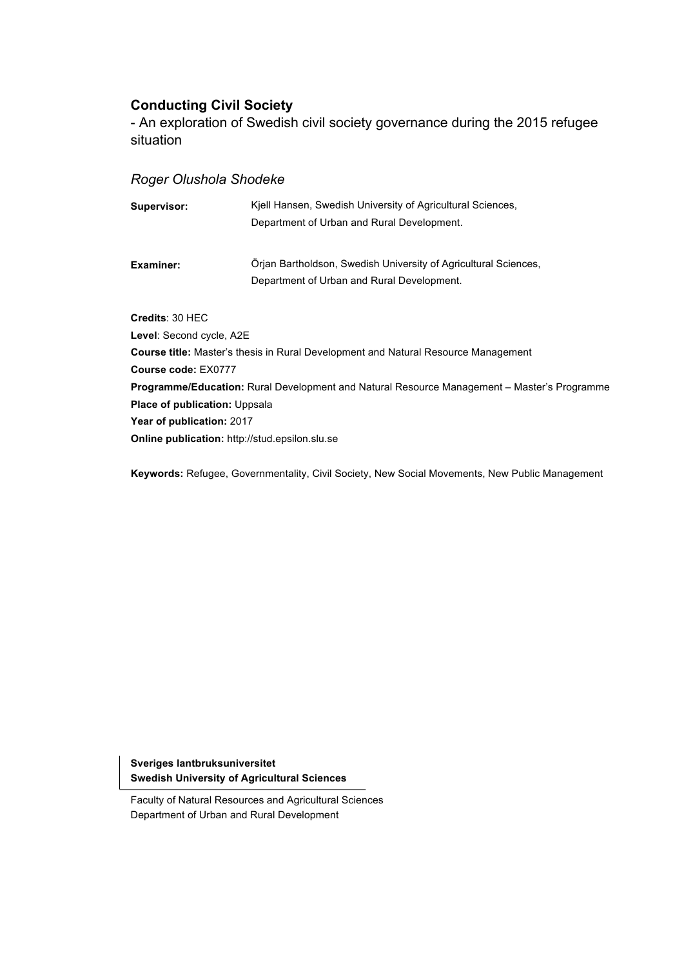### **Conducting Civil Society**

- An exploration of Swedish civil society governance during the 2015 refugee situation

### *Roger Olushola Shodeke*

| Supervisor:                                           | Kiell Hansen, Swedish University of Agricultural Sciences,                                         |
|-------------------------------------------------------|----------------------------------------------------------------------------------------------------|
|                                                       | Department of Urban and Rural Development.                                                         |
| Examiner:                                             | Orian Bartholdson, Swedish University of Agricultural Sciences,                                    |
|                                                       | Department of Urban and Rural Development.                                                         |
| Credits: 30 HEC                                       |                                                                                                    |
| Level: Second cycle, A2E                              |                                                                                                    |
|                                                       | <b>Course title:</b> Master's thesis in Rural Development and Natural Resource Management          |
| Course code: EX0777                                   |                                                                                                    |
|                                                       | <b>Programme/Education:</b> Rural Development and Natural Resource Management – Master's Programme |
| <b>Place of publication: Uppsala</b>                  |                                                                                                    |
| Year of publication: 2017                             |                                                                                                    |
| <b>Online publication:</b> http://stud.epsilon.slu.se |                                                                                                    |

**Keywords:** Refugee, Governmentality, Civil Society, New Social Movements, New Public Management

**Sveriges lantbruksuniversitet Swedish University of Agricultural Sciences**

Faculty of Natural Resources and Agricultural Sciences Department of Urban and Rural Development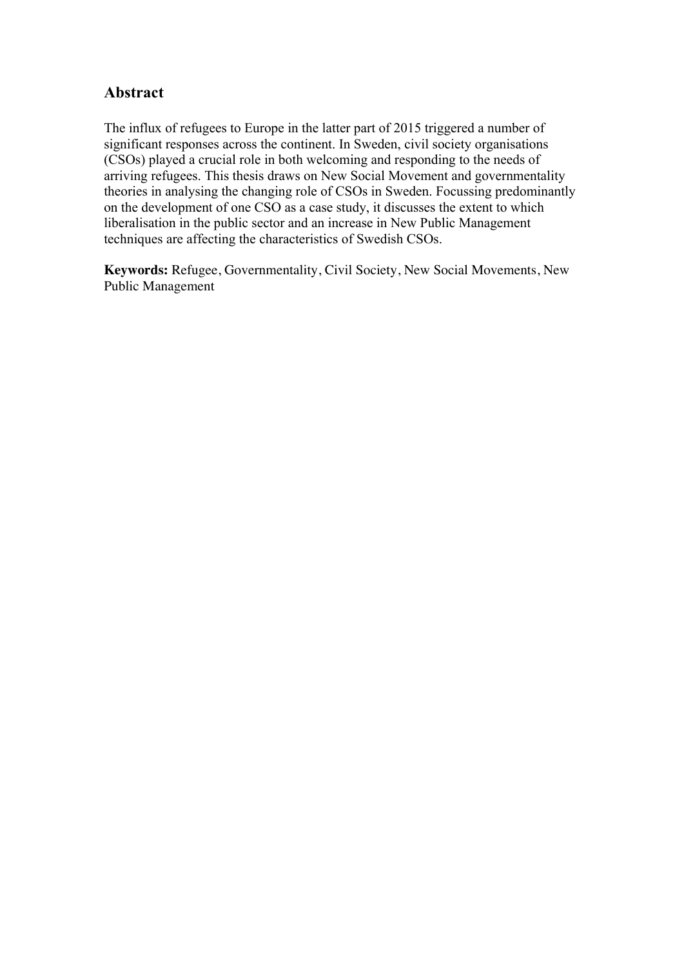### **Abstract**

The influx of refugees to Europe in the latter part of 2015 triggered a number of significant responses across the continent. In Sweden, civil society organisations (CSOs) played a crucial role in both welcoming and responding to the needs of arriving refugees. This thesis draws on New Social Movement and governmentality theories in analysing the changing role of CSOs in Sweden. Focussing predominantly on the development of one CSO as a case study, it discusses the extent to which liberalisation in the public sector and an increase in New Public Management techniques are affecting the characteristics of Swedish CSOs.

**Keywords:** Refugee, Governmentality, Civil Society, New Social Movements, New Public Management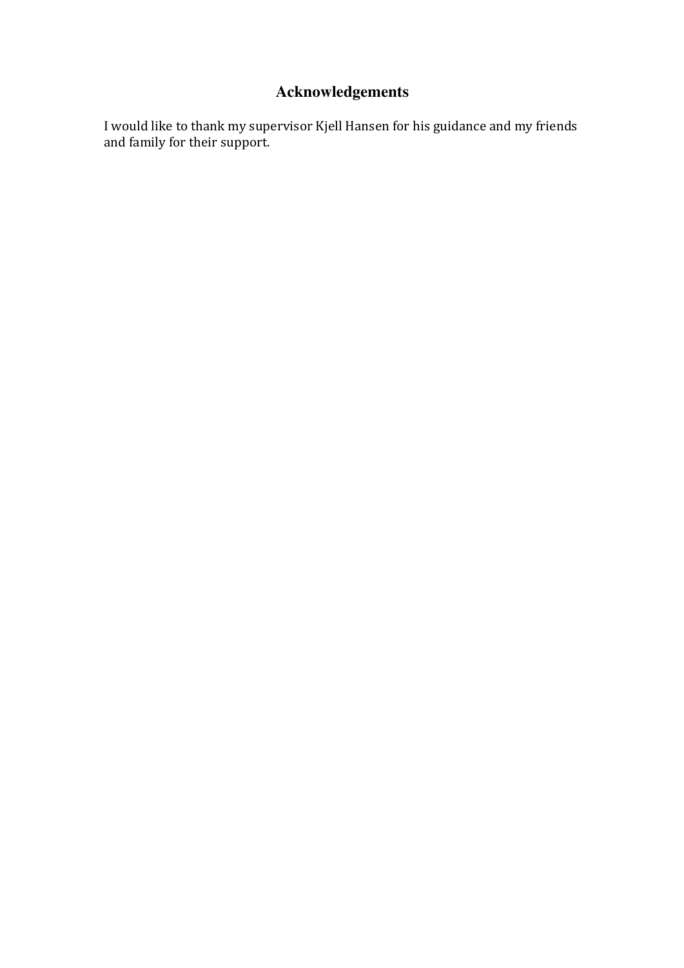# **Acknowledgements**

I would like to thank my supervisor Kjell Hansen for his guidance and my friends and family for their support.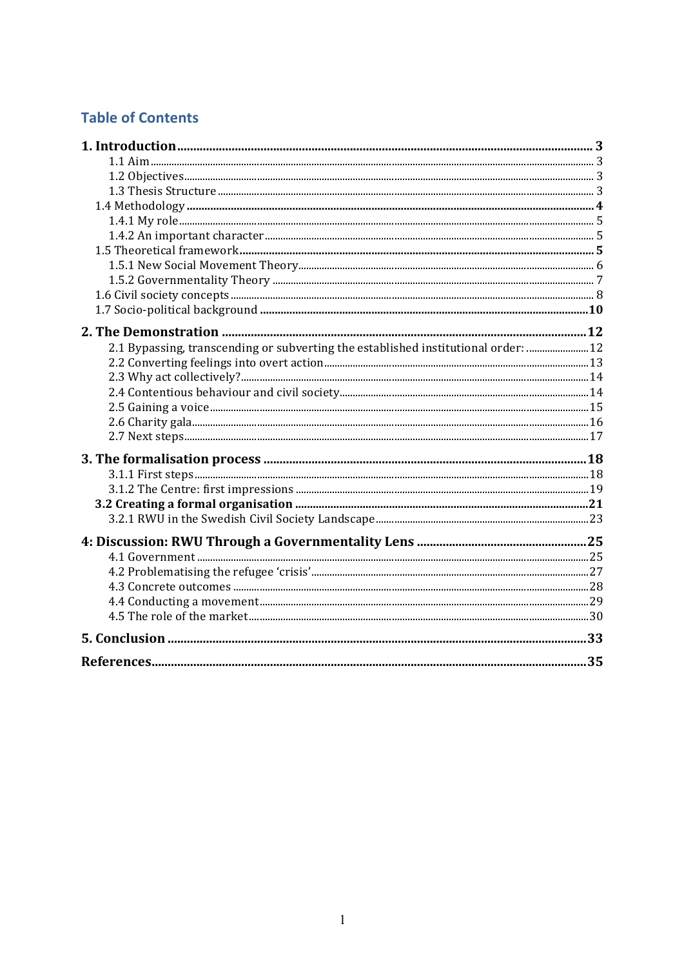# **Table of Contents**

| 2.1 Bypassing, transcending or subverting the established institutional order:  12 |  |
|------------------------------------------------------------------------------------|--|
|                                                                                    |  |
|                                                                                    |  |
|                                                                                    |  |
|                                                                                    |  |
|                                                                                    |  |
|                                                                                    |  |
|                                                                                    |  |
|                                                                                    |  |
|                                                                                    |  |
|                                                                                    |  |
|                                                                                    |  |
|                                                                                    |  |
|                                                                                    |  |
|                                                                                    |  |
|                                                                                    |  |
|                                                                                    |  |
|                                                                                    |  |
|                                                                                    |  |
|                                                                                    |  |
|                                                                                    |  |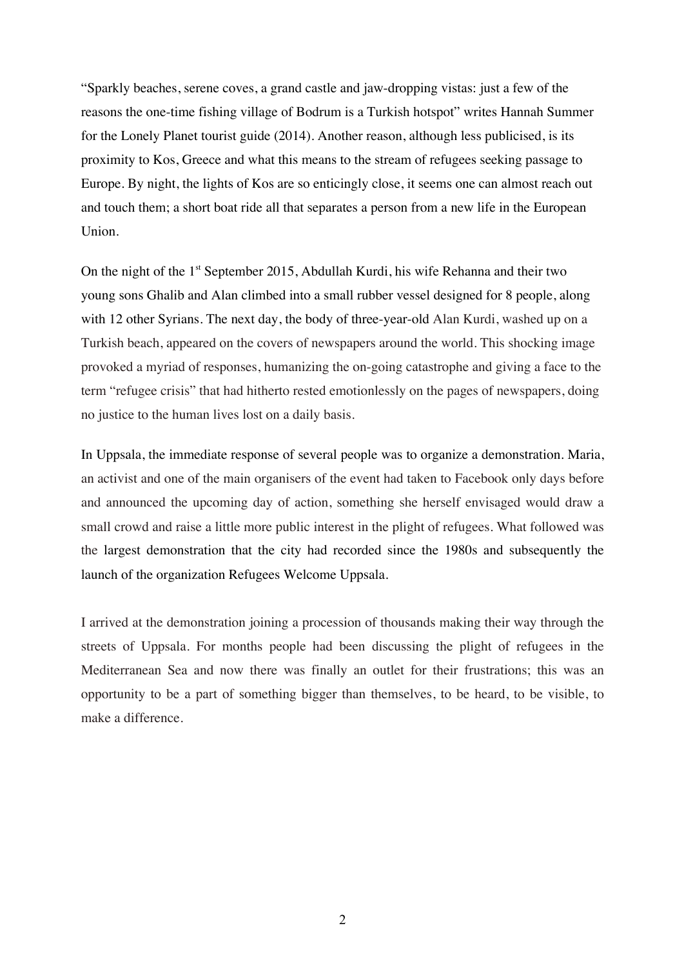"Sparkly beaches, serene coves, a grand castle and jaw-dropping vistas: just a few of the reasons the one-time fishing village of Bodrum is a Turkish hotspot" writes Hannah Summer for the Lonely Planet tourist guide (2014). Another reason, although less publicised, is its proximity to Kos, Greece and what this means to the stream of refugees seeking passage to Europe. By night, the lights of Kos are so enticingly close, it seems one can almost reach out and touch them; a short boat ride all that separates a person from a new life in the European Union.

On the night of the 1<sup>st</sup> September 2015, Abdullah Kurdi, his wife Rehanna and their two young sons Ghalib and Alan climbed into a small rubber vessel designed for 8 people, along with 12 other Syrians. The next day, the body of three-year-old Alan Kurdi, washed up on a Turkish beach, appeared on the covers of newspapers around the world. This shocking image provoked a myriad of responses, humanizing the on-going catastrophe and giving a face to the term "refugee crisis" that had hitherto rested emotionlessly on the pages of newspapers, doing no justice to the human lives lost on a daily basis.

In Uppsala, the immediate response of several people was to organize a demonstration. Maria, an activist and one of the main organisers of the event had taken to Facebook only days before and announced the upcoming day of action, something she herself envisaged would draw a small crowd and raise a little more public interest in the plight of refugees. What followed was the largest demonstration that the city had recorded since the 1980s and subsequently the launch of the organization Refugees Welcome Uppsala.

I arrived at the demonstration joining a procession of thousands making their way through the streets of Uppsala. For months people had been discussing the plight of refugees in the Mediterranean Sea and now there was finally an outlet for their frustrations; this was an opportunity to be a part of something bigger than themselves, to be heard, to be visible, to make a difference.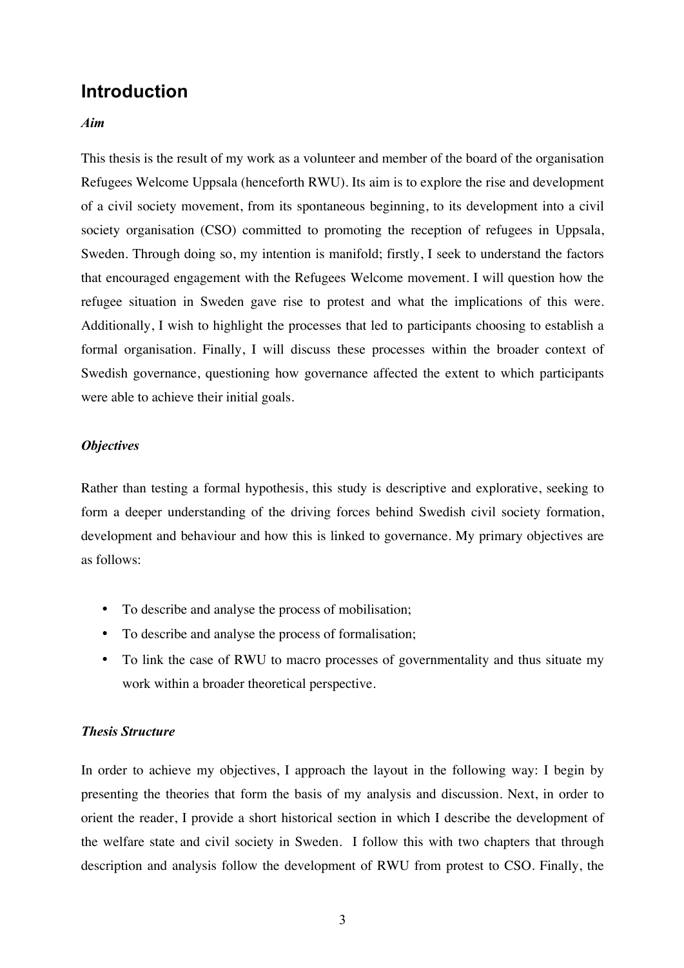# **Introduction**

#### *Aim*

This thesis is the result of my work as a volunteer and member of the board of the organisation Refugees Welcome Uppsala (henceforth RWU). Its aim is to explore the rise and development of a civil society movement, from its spontaneous beginning, to its development into a civil society organisation (CSO) committed to promoting the reception of refugees in Uppsala, Sweden. Through doing so, my intention is manifold; firstly, I seek to understand the factors that encouraged engagement with the Refugees Welcome movement. I will question how the refugee situation in Sweden gave rise to protest and what the implications of this were. Additionally, I wish to highlight the processes that led to participants choosing to establish a formal organisation. Finally, I will discuss these processes within the broader context of Swedish governance, questioning how governance affected the extent to which participants were able to achieve their initial goals.

#### *Objectives*

Rather than testing a formal hypothesis, this study is descriptive and explorative, seeking to form a deeper understanding of the driving forces behind Swedish civil society formation, development and behaviour and how this is linked to governance. My primary objectives are as follows:

- To describe and analyse the process of mobilisation;
- To describe and analyse the process of formalisation;
- To link the case of RWU to macro processes of governmentality and thus situate my work within a broader theoretical perspective.

#### *Thesis Structure*

In order to achieve my objectives, I approach the layout in the following way: I begin by presenting the theories that form the basis of my analysis and discussion. Next, in order to orient the reader, I provide a short historical section in which I describe the development of the welfare state and civil society in Sweden. I follow this with two chapters that through description and analysis follow the development of RWU from protest to CSO. Finally, the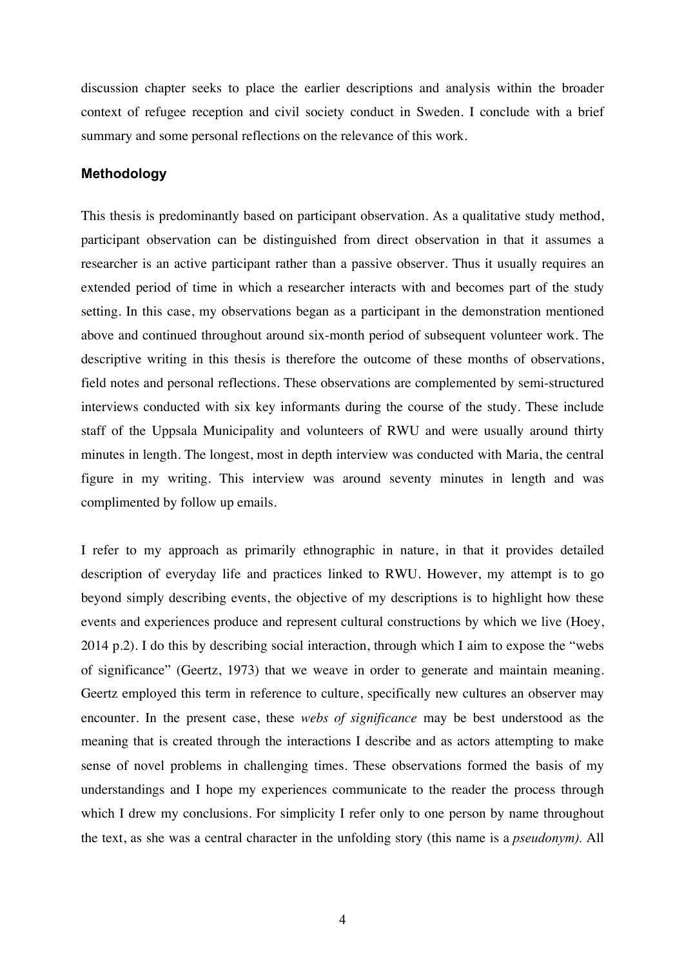discussion chapter seeks to place the earlier descriptions and analysis within the broader context of refugee reception and civil society conduct in Sweden. I conclude with a brief summary and some personal reflections on the relevance of this work.

#### **Methodology**

This thesis is predominantly based on participant observation. As a qualitative study method, participant observation can be distinguished from direct observation in that it assumes a researcher is an active participant rather than a passive observer. Thus it usually requires an extended period of time in which a researcher interacts with and becomes part of the study setting. In this case, my observations began as a participant in the demonstration mentioned above and continued throughout around six-month period of subsequent volunteer work. The descriptive writing in this thesis is therefore the outcome of these months of observations, field notes and personal reflections. These observations are complemented by semi-structured interviews conducted with six key informants during the course of the study. These include staff of the Uppsala Municipality and volunteers of RWU and were usually around thirty minutes in length. The longest, most in depth interview was conducted with Maria, the central figure in my writing. This interview was around seventy minutes in length and was complimented by follow up emails.

I refer to my approach as primarily ethnographic in nature, in that it provides detailed description of everyday life and practices linked to RWU. However, my attempt is to go beyond simply describing events, the objective of my descriptions is to highlight how these events and experiences produce and represent cultural constructions by which we live (Hoey, 2014 p.2). I do this by describing social interaction, through which I aim to expose the "webs of significance" (Geertz, 1973) that we weave in order to generate and maintain meaning. Geertz employed this term in reference to culture, specifically new cultures an observer may encounter. In the present case, these *webs of significance* may be best understood as the meaning that is created through the interactions I describe and as actors attempting to make sense of novel problems in challenging times. These observations formed the basis of my understandings and I hope my experiences communicate to the reader the process through which I drew my conclusions. For simplicity I refer only to one person by name throughout the text, as she was a central character in the unfolding story (this name is a *pseudonym).* All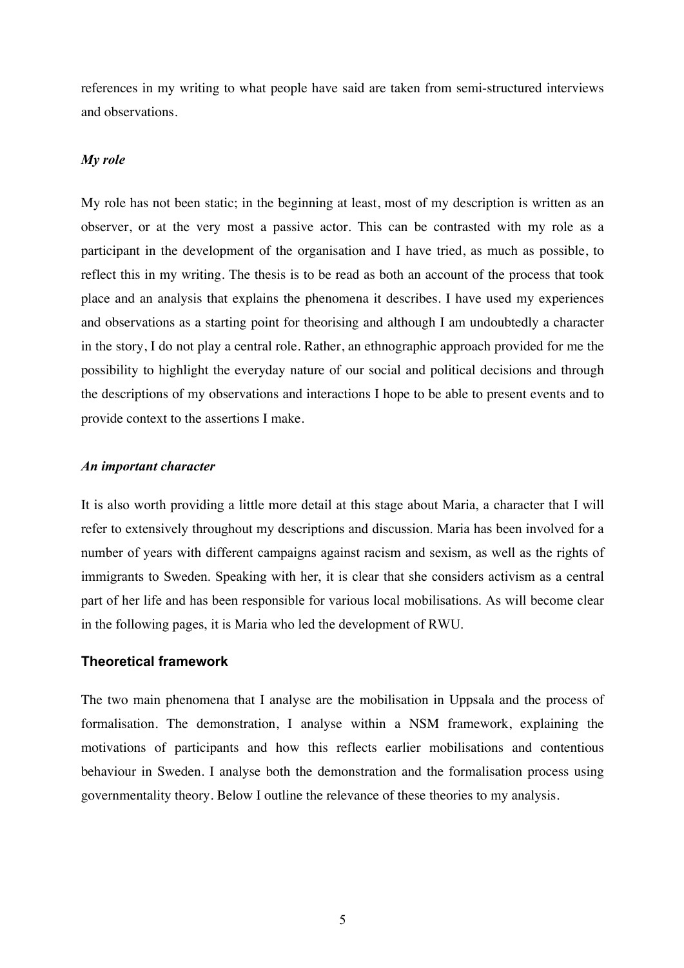references in my writing to what people have said are taken from semi-structured interviews and observations.

#### *My role*

My role has not been static; in the beginning at least, most of my description is written as an observer, or at the very most a passive actor. This can be contrasted with my role as a participant in the development of the organisation and I have tried, as much as possible, to reflect this in my writing. The thesis is to be read as both an account of the process that took place and an analysis that explains the phenomena it describes. I have used my experiences and observations as a starting point for theorising and although I am undoubtedly a character in the story, I do not play a central role. Rather, an ethnographic approach provided for me the possibility to highlight the everyday nature of our social and political decisions and through the descriptions of my observations and interactions I hope to be able to present events and to provide context to the assertions I make.

#### *An important character*

It is also worth providing a little more detail at this stage about Maria, a character that I will refer to extensively throughout my descriptions and discussion. Maria has been involved for a number of years with different campaigns against racism and sexism, as well as the rights of immigrants to Sweden. Speaking with her, it is clear that she considers activism as a central part of her life and has been responsible for various local mobilisations. As will become clear in the following pages, it is Maria who led the development of RWU.

#### **Theoretical framework**

The two main phenomena that I analyse are the mobilisation in Uppsala and the process of formalisation. The demonstration, I analyse within a NSM framework, explaining the motivations of participants and how this reflects earlier mobilisations and contentious behaviour in Sweden. I analyse both the demonstration and the formalisation process using governmentality theory. Below I outline the relevance of these theories to my analysis.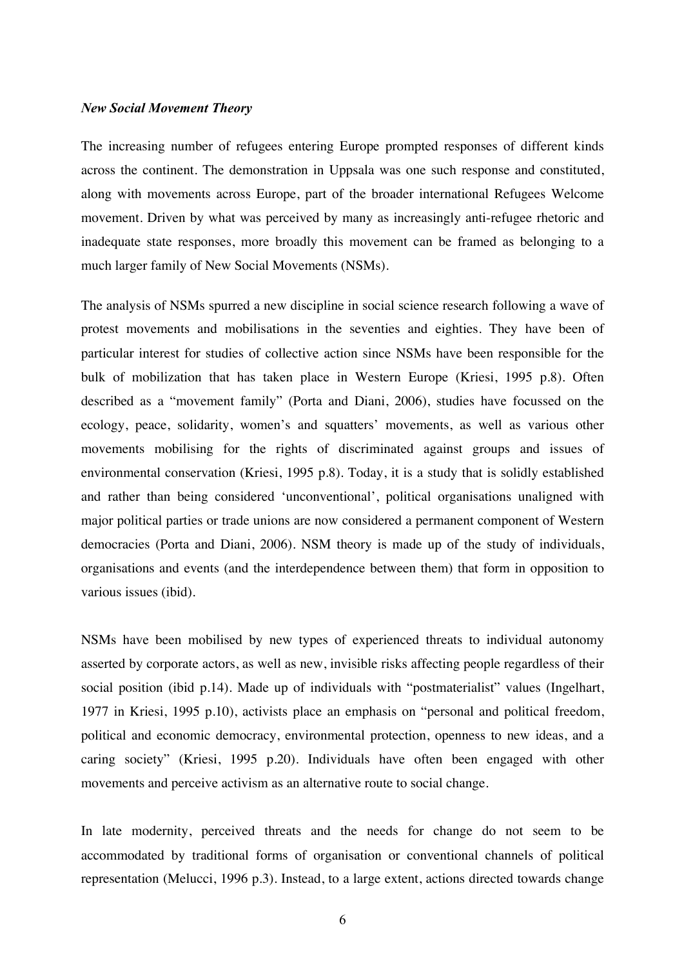#### *New Social Movement Theory*

The increasing number of refugees entering Europe prompted responses of different kinds across the continent. The demonstration in Uppsala was one such response and constituted, along with movements across Europe, part of the broader international Refugees Welcome movement. Driven by what was perceived by many as increasingly anti-refugee rhetoric and inadequate state responses, more broadly this movement can be framed as belonging to a much larger family of New Social Movements (NSMs).

The analysis of NSMs spurred a new discipline in social science research following a wave of protest movements and mobilisations in the seventies and eighties. They have been of particular interest for studies of collective action since NSMs have been responsible for the bulk of mobilization that has taken place in Western Europe (Kriesi, 1995 p.8). Often described as a "movement family" (Porta and Diani, 2006), studies have focussed on the ecology, peace, solidarity, women's and squatters' movements, as well as various other movements mobilising for the rights of discriminated against groups and issues of environmental conservation (Kriesi, 1995 p.8). Today, it is a study that is solidly established and rather than being considered 'unconventional', political organisations unaligned with major political parties or trade unions are now considered a permanent component of Western democracies (Porta and Diani, 2006). NSM theory is made up of the study of individuals, organisations and events (and the interdependence between them) that form in opposition to various issues (ibid).

NSMs have been mobilised by new types of experienced threats to individual autonomy asserted by corporate actors, as well as new, invisible risks affecting people regardless of their social position (ibid p.14). Made up of individuals with "postmaterialist" values (Ingelhart, 1977 in Kriesi, 1995 p.10), activists place an emphasis on "personal and political freedom, political and economic democracy, environmental protection, openness to new ideas, and a caring society" (Kriesi, 1995 p.20). Individuals have often been engaged with other movements and perceive activism as an alternative route to social change.

In late modernity, perceived threats and the needs for change do not seem to be accommodated by traditional forms of organisation or conventional channels of political representation (Melucci, 1996 p.3). Instead, to a large extent, actions directed towards change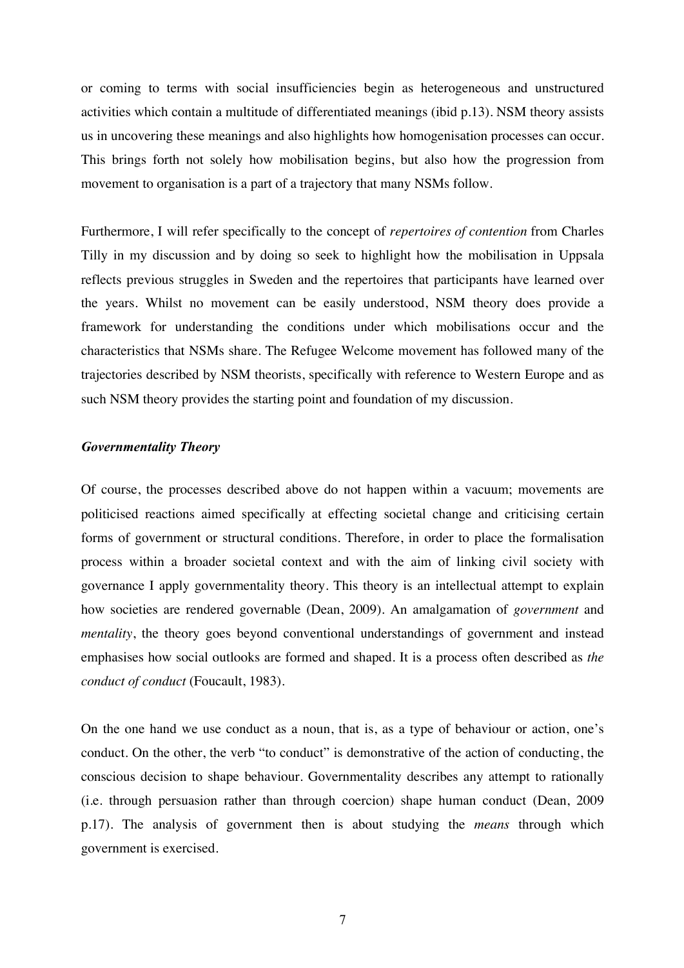or coming to terms with social insufficiencies begin as heterogeneous and unstructured activities which contain a multitude of differentiated meanings (ibid p.13). NSM theory assists us in uncovering these meanings and also highlights how homogenisation processes can occur. This brings forth not solely how mobilisation begins, but also how the progression from movement to organisation is a part of a trajectory that many NSMs follow.

Furthermore, I will refer specifically to the concept of *repertoires of contention* from Charles Tilly in my discussion and by doing so seek to highlight how the mobilisation in Uppsala reflects previous struggles in Sweden and the repertoires that participants have learned over the years. Whilst no movement can be easily understood, NSM theory does provide a framework for understanding the conditions under which mobilisations occur and the characteristics that NSMs share. The Refugee Welcome movement has followed many of the trajectories described by NSM theorists, specifically with reference to Western Europe and as such NSM theory provides the starting point and foundation of my discussion.

#### *Governmentality Theory*

Of course, the processes described above do not happen within a vacuum; movements are politicised reactions aimed specifically at effecting societal change and criticising certain forms of government or structural conditions. Therefore, in order to place the formalisation process within a broader societal context and with the aim of linking civil society with governance I apply governmentality theory. This theory is an intellectual attempt to explain how societies are rendered governable (Dean, 2009). An amalgamation of *government* and *mentality*, the theory goes beyond conventional understandings of government and instead emphasises how social outlooks are formed and shaped. It is a process often described as *the conduct of conduct* (Foucault, 1983).

On the one hand we use conduct as a noun, that is, as a type of behaviour or action, one's conduct. On the other, the verb "to conduct" is demonstrative of the action of conducting, the conscious decision to shape behaviour. Governmentality describes any attempt to rationally (i.e. through persuasion rather than through coercion) shape human conduct (Dean, 2009 p.17). The analysis of government then is about studying the *means* through which government is exercised.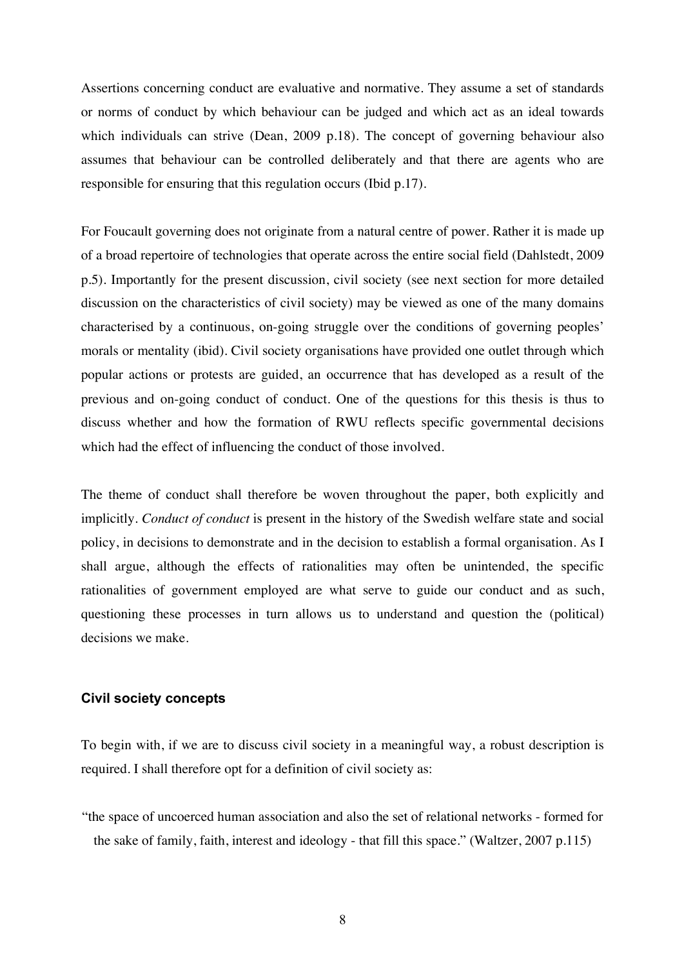Assertions concerning conduct are evaluative and normative. They assume a set of standards or norms of conduct by which behaviour can be judged and which act as an ideal towards which individuals can strive (Dean, 2009 p.18). The concept of governing behaviour also assumes that behaviour can be controlled deliberately and that there are agents who are responsible for ensuring that this regulation occurs (Ibid p.17).

For Foucault governing does not originate from a natural centre of power. Rather it is made up of a broad repertoire of technologies that operate across the entire social field (Dahlstedt, 2009 p.5). Importantly for the present discussion, civil society (see next section for more detailed discussion on the characteristics of civil society) may be viewed as one of the many domains characterised by a continuous, on-going struggle over the conditions of governing peoples' morals or mentality (ibid). Civil society organisations have provided one outlet through which popular actions or protests are guided, an occurrence that has developed as a result of the previous and on-going conduct of conduct. One of the questions for this thesis is thus to discuss whether and how the formation of RWU reflects specific governmental decisions which had the effect of influencing the conduct of those involved.

The theme of conduct shall therefore be woven throughout the paper, both explicitly and implicitly. *Conduct of conduct* is present in the history of the Swedish welfare state and social policy, in decisions to demonstrate and in the decision to establish a formal organisation. As I shall argue, although the effects of rationalities may often be unintended, the specific rationalities of government employed are what serve to guide our conduct and as such, questioning these processes in turn allows us to understand and question the (political) decisions we make.

#### **Civil society concepts**

To begin with, if we are to discuss civil society in a meaningful way, a robust description is required. I shall therefore opt for a definition of civil society as:

"the space of uncoerced human association and also the set of relational networks - formed for the sake of family, faith, interest and ideology - that fill this space." (Waltzer, 2007 p.115)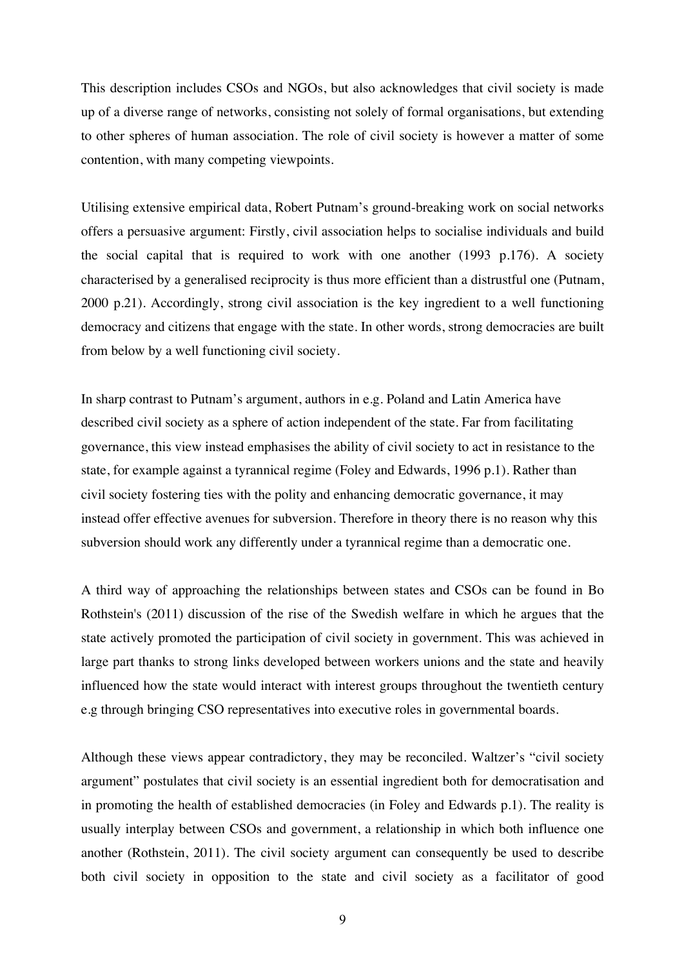This description includes CSOs and NGOs, but also acknowledges that civil society is made up of a diverse range of networks, consisting not solely of formal organisations, but extending to other spheres of human association. The role of civil society is however a matter of some contention, with many competing viewpoints.

Utilising extensive empirical data, Robert Putnam's ground-breaking work on social networks offers a persuasive argument: Firstly, civil association helps to socialise individuals and build the social capital that is required to work with one another (1993 p.176). A society characterised by a generalised reciprocity is thus more efficient than a distrustful one (Putnam, 2000 p.21). Accordingly, strong civil association is the key ingredient to a well functioning democracy and citizens that engage with the state. In other words, strong democracies are built from below by a well functioning civil society.

In sharp contrast to Putnam's argument, authors in e.g. Poland and Latin America have described civil society as a sphere of action independent of the state. Far from facilitating governance, this view instead emphasises the ability of civil society to act in resistance to the state, for example against a tyrannical regime (Foley and Edwards, 1996 p.1). Rather than civil society fostering ties with the polity and enhancing democratic governance, it may instead offer effective avenues for subversion. Therefore in theory there is no reason why this subversion should work any differently under a tyrannical regime than a democratic one.

A third way of approaching the relationships between states and CSOs can be found in Bo Rothstein's (2011) discussion of the rise of the Swedish welfare in which he argues that the state actively promoted the participation of civil society in government. This was achieved in large part thanks to strong links developed between workers unions and the state and heavily influenced how the state would interact with interest groups throughout the twentieth century e.g through bringing CSO representatives into executive roles in governmental boards.

Although these views appear contradictory, they may be reconciled. Waltzer's "civil society argument" postulates that civil society is an essential ingredient both for democratisation and in promoting the health of established democracies (in Foley and Edwards p.1). The reality is usually interplay between CSOs and government, a relationship in which both influence one another (Rothstein, 2011). The civil society argument can consequently be used to describe both civil society in opposition to the state and civil society as a facilitator of good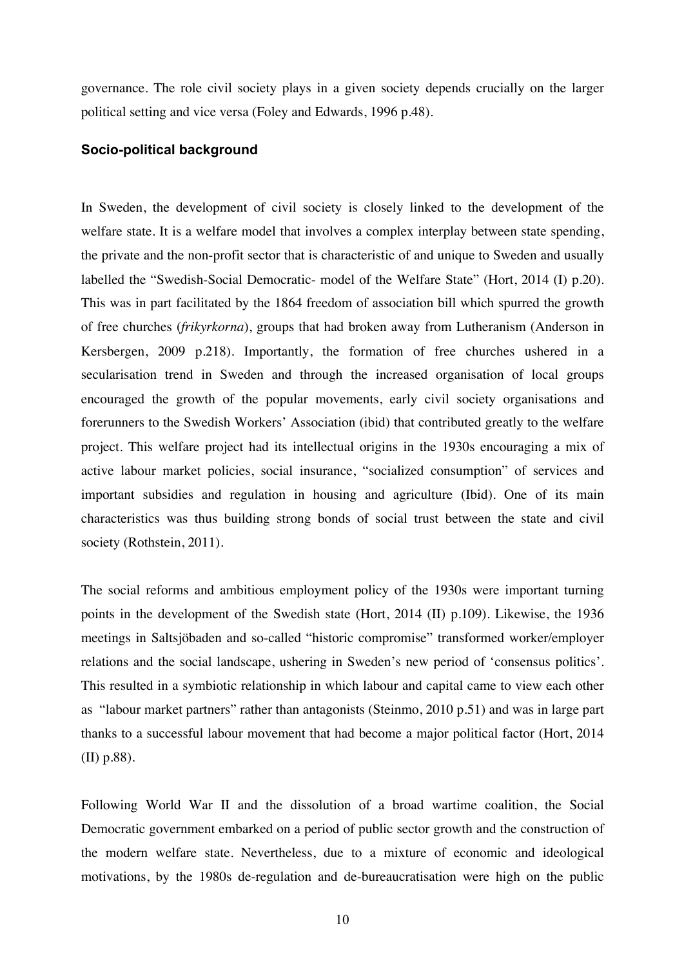governance. The role civil society plays in a given society depends crucially on the larger political setting and vice versa (Foley and Edwards, 1996 p.48).

#### **Socio-political background**

In Sweden, the development of civil society is closely linked to the development of the welfare state. It is a welfare model that involves a complex interplay between state spending, the private and the non-profit sector that is characteristic of and unique to Sweden and usually labelled the "Swedish-Social Democratic- model of the Welfare State" (Hort, 2014 (I) p.20). This was in part facilitated by the 1864 freedom of association bill which spurred the growth of free churches (*frikyrkorna*), groups that had broken away from Lutheranism (Anderson in Kersbergen, 2009 p.218). Importantly, the formation of free churches ushered in a secularisation trend in Sweden and through the increased organisation of local groups encouraged the growth of the popular movements, early civil society organisations and forerunners to the Swedish Workers' Association (ibid) that contributed greatly to the welfare project. This welfare project had its intellectual origins in the 1930s encouraging a mix of active labour market policies, social insurance, "socialized consumption" of services and important subsidies and regulation in housing and agriculture (Ibid). One of its main characteristics was thus building strong bonds of social trust between the state and civil society (Rothstein, 2011).

The social reforms and ambitious employment policy of the 1930s were important turning points in the development of the Swedish state (Hort, 2014 (II) p.109). Likewise, the 1936 meetings in Saltsjöbaden and so-called "historic compromise" transformed worker/employer relations and the social landscape, ushering in Sweden's new period of 'consensus politics'. This resulted in a symbiotic relationship in which labour and capital came to view each other as "labour market partners" rather than antagonists (Steinmo, 2010 p.51) and was in large part thanks to a successful labour movement that had become a major political factor (Hort, 2014 (II) p.88).

Following World War II and the dissolution of a broad wartime coalition, the Social Democratic government embarked on a period of public sector growth and the construction of the modern welfare state. Nevertheless, due to a mixture of economic and ideological motivations, by the 1980s de-regulation and de-bureaucratisation were high on the public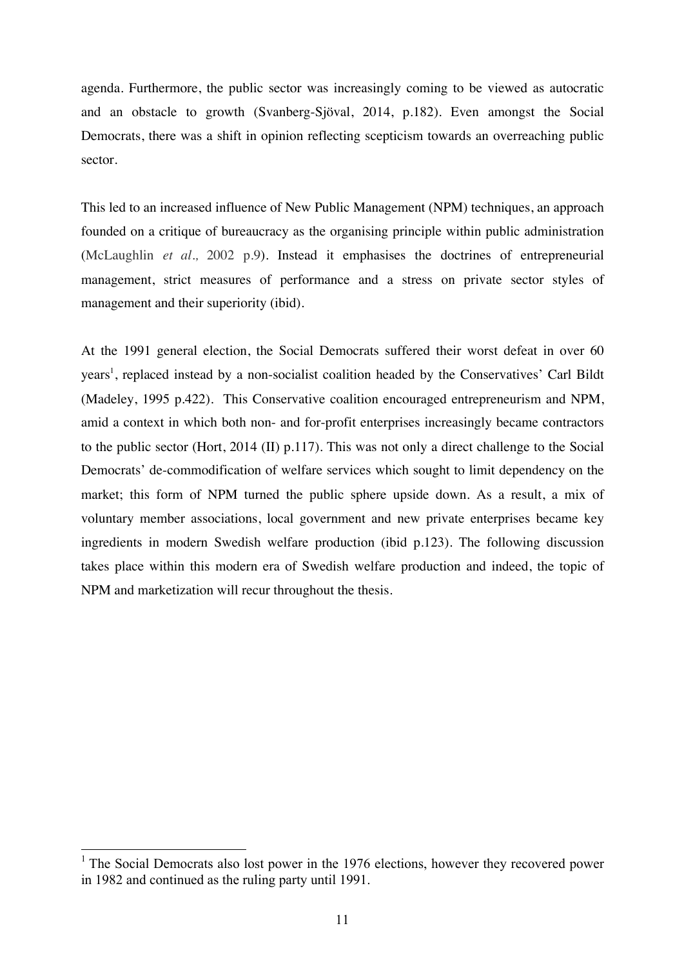agenda. Furthermore, the public sector was increasingly coming to be viewed as autocratic and an obstacle to growth (Svanberg-Sjöval, 2014, p.182). Even amongst the Social Democrats, there was a shift in opinion reflecting scepticism towards an overreaching public sector.

This led to an increased influence of New Public Management (NPM) techniques, an approach founded on a critique of bureaucracy as the organising principle within public administration (McLaughlin *et al.,* 2002 p.9). Instead it emphasises the doctrines of entrepreneurial management, strict measures of performance and a stress on private sector styles of management and their superiority (ibid).

At the 1991 general election, the Social Democrats suffered their worst defeat in over 60 years<sup>1</sup>, replaced instead by a non-socialist coalition headed by the Conservatives' Carl Bildt (Madeley, 1995 p.422). This Conservative coalition encouraged entrepreneurism and NPM, amid a context in which both non- and for-profit enterprises increasingly became contractors to the public sector (Hort, 2014 (II) p.117). This was not only a direct challenge to the Social Democrats' de-commodification of welfare services which sought to limit dependency on the market; this form of NPM turned the public sphere upside down. As a result, a mix of voluntary member associations, local government and new private enterprises became key ingredients in modern Swedish welfare production (ibid p.123). The following discussion takes place within this modern era of Swedish welfare production and indeed, the topic of NPM and marketization will recur throughout the thesis.

 $1$  The Social Democrats also lost power in the 1976 elections, however they recovered power in 1982 and continued as the ruling party until 1991.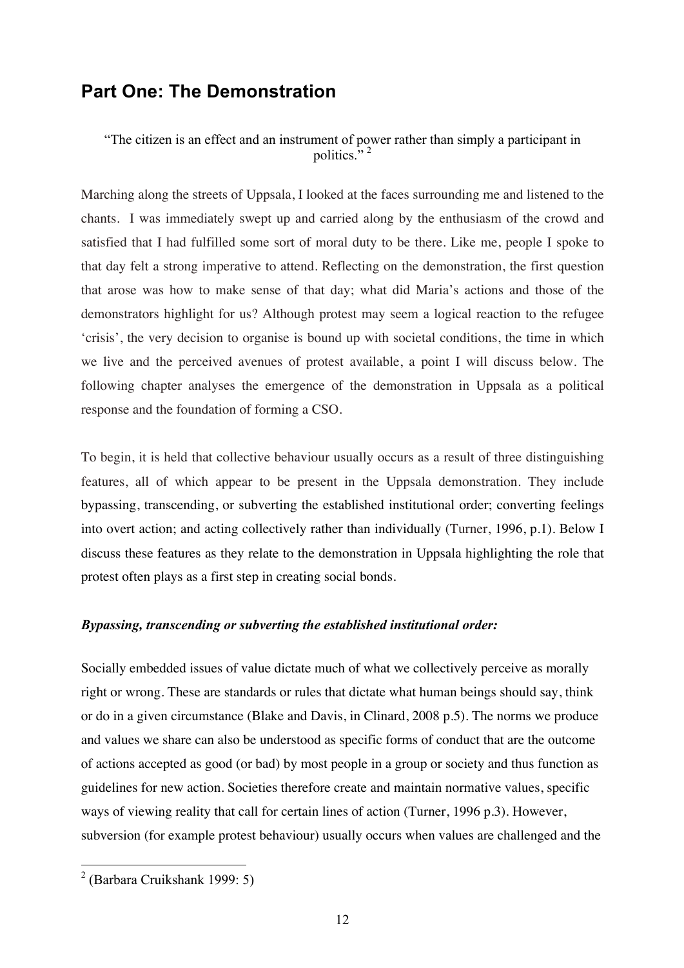### **Part One: The Demonstration**

"The citizen is an effect and an instrument of power rather than simply a participant in politics $\frac{1}{2}$ 

Marching along the streets of Uppsala, I looked at the faces surrounding me and listened to the chants. I was immediately swept up and carried along by the enthusiasm of the crowd and satisfied that I had fulfilled some sort of moral duty to be there. Like me, people I spoke to that day felt a strong imperative to attend. Reflecting on the demonstration, the first question that arose was how to make sense of that day; what did Maria's actions and those of the demonstrators highlight for us? Although protest may seem a logical reaction to the refugee 'crisis', the very decision to organise is bound up with societal conditions, the time in which we live and the perceived avenues of protest available, a point I will discuss below. The following chapter analyses the emergence of the demonstration in Uppsala as a political response and the foundation of forming a CSO.

To begin, it is held that collective behaviour usually occurs as a result of three distinguishing features, all of which appear to be present in the Uppsala demonstration. They include bypassing, transcending, or subverting the established institutional order; converting feelings into overt action; and acting collectively rather than individually (Turner, 1996, p.1). Below I discuss these features as they relate to the demonstration in Uppsala highlighting the role that protest often plays as a first step in creating social bonds.

#### *Bypassing, transcending or subverting the established institutional order:*

Socially embedded issues of value dictate much of what we collectively perceive as morally right or wrong. These are standards or rules that dictate what human beings should say, think or do in a given circumstance (Blake and Davis, in Clinard, 2008 p.5). The norms we produce and values we share can also be understood as specific forms of conduct that are the outcome of actions accepted as good (or bad) by most people in a group or society and thus function as guidelines for new action. Societies therefore create and maintain normative values, specific ways of viewing reality that call for certain lines of action (Turner, 1996 p.3). However, subversion (for example protest behaviour) usually occurs when values are challenged and the

 <sup>2</sup> (Barbara Cruikshank 1999: 5)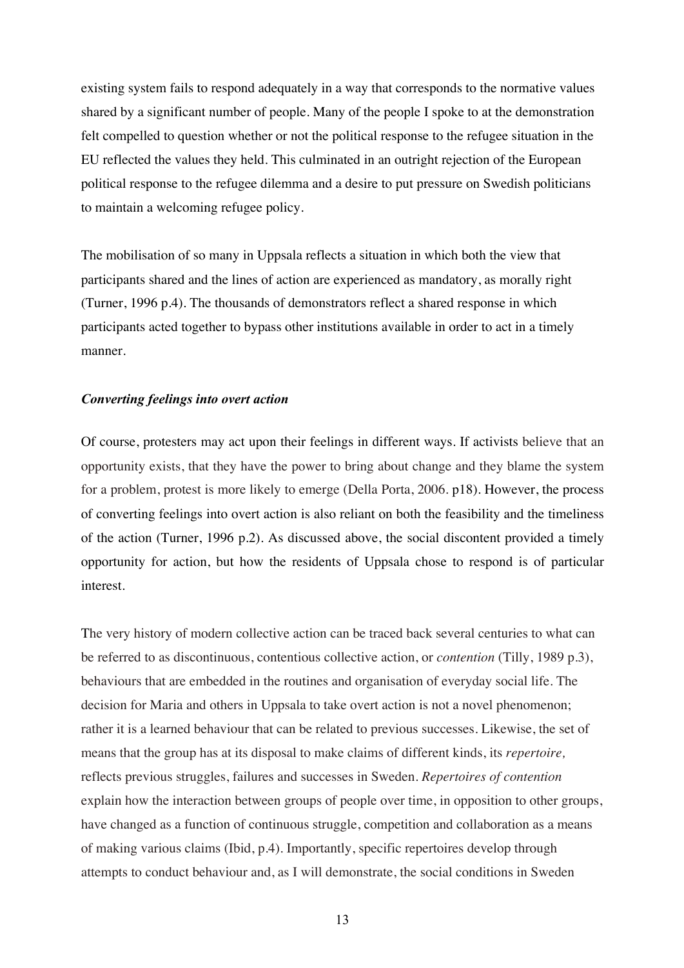existing system fails to respond adequately in a way that corresponds to the normative values shared by a significant number of people. Many of the people I spoke to at the demonstration felt compelled to question whether or not the political response to the refugee situation in the EU reflected the values they held. This culminated in an outright rejection of the European political response to the refugee dilemma and a desire to put pressure on Swedish politicians to maintain a welcoming refugee policy.

The mobilisation of so many in Uppsala reflects a situation in which both the view that participants shared and the lines of action are experienced as mandatory, as morally right (Turner, 1996 p.4). The thousands of demonstrators reflect a shared response in which participants acted together to bypass other institutions available in order to act in a timely manner.

#### *Converting feelings into overt action*

Of course, protesters may act upon their feelings in different ways. If activists believe that an opportunity exists, that they have the power to bring about change and they blame the system for a problem, protest is more likely to emerge (Della Porta, 2006. p18). However, the process of converting feelings into overt action is also reliant on both the feasibility and the timeliness of the action (Turner, 1996 p.2). As discussed above, the social discontent provided a timely opportunity for action, but how the residents of Uppsala chose to respond is of particular interest.

The very history of modern collective action can be traced back several centuries to what can be referred to as discontinuous, contentious collective action, or *contention* (Tilly, 1989 p.3), behaviours that are embedded in the routines and organisation of everyday social life. The decision for Maria and others in Uppsala to take overt action is not a novel phenomenon; rather it is a learned behaviour that can be related to previous successes. Likewise, the set of means that the group has at its disposal to make claims of different kinds, its *repertoire,*  reflects previous struggles, failures and successes in Sweden. *Repertoires of contention* explain how the interaction between groups of people over time, in opposition to other groups, have changed as a function of continuous struggle, competition and collaboration as a means of making various claims (Ibid, p.4). Importantly, specific repertoires develop through attempts to conduct behaviour and, as I will demonstrate, the social conditions in Sweden

13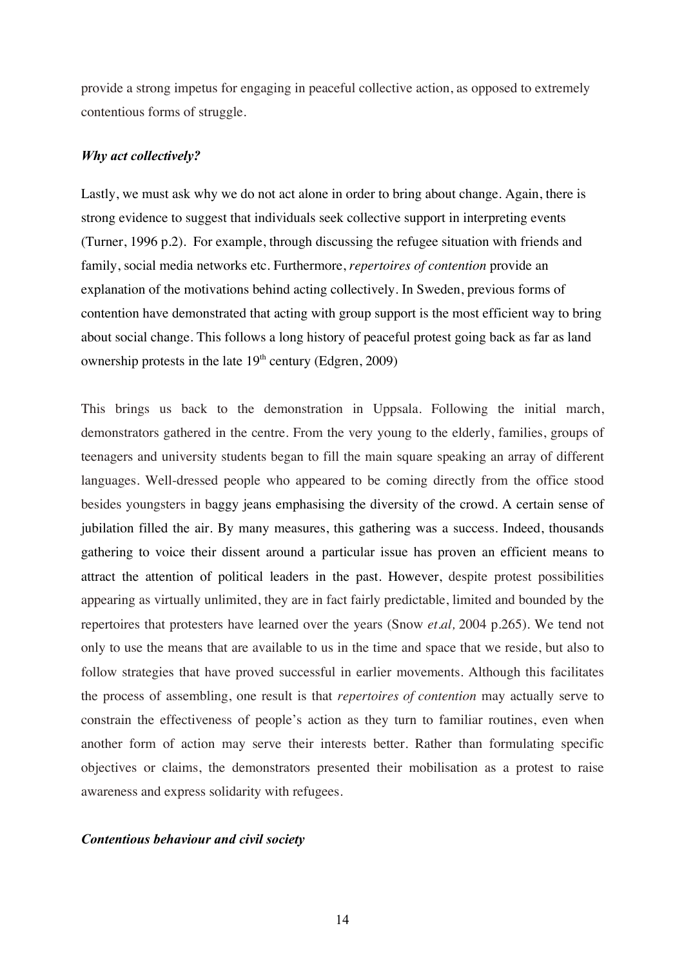provide a strong impetus for engaging in peaceful collective action, as opposed to extremely contentious forms of struggle.

#### *Why act collectively?*

Lastly, we must ask why we do not act alone in order to bring about change. Again, there is strong evidence to suggest that individuals seek collective support in interpreting events (Turner, 1996 p.2). For example, through discussing the refugee situation with friends and family, social media networks etc. Furthermore, *repertoires of contention* provide an explanation of the motivations behind acting collectively. In Sweden, previous forms of contention have demonstrated that acting with group support is the most efficient way to bring about social change. This follows a long history of peaceful protest going back as far as land ownership protests in the late  $19<sup>th</sup>$  century (Edgren, 2009)

This brings us back to the demonstration in Uppsala. Following the initial march, demonstrators gathered in the centre. From the very young to the elderly, families, groups of teenagers and university students began to fill the main square speaking an array of different languages. Well-dressed people who appeared to be coming directly from the office stood besides youngsters in baggy jeans emphasising the diversity of the crowd. A certain sense of jubilation filled the air. By many measures, this gathering was a success. Indeed, thousands gathering to voice their dissent around a particular issue has proven an efficient means to attract the attention of political leaders in the past. However, despite protest possibilities appearing as virtually unlimited, they are in fact fairly predictable, limited and bounded by the repertoires that protesters have learned over the years (Snow *et.al,* 2004 p.265). We tend not only to use the means that are available to us in the time and space that we reside, but also to follow strategies that have proved successful in earlier movements. Although this facilitates the process of assembling, one result is that *repertoires of contention* may actually serve to constrain the effectiveness of people's action as they turn to familiar routines, even when another form of action may serve their interests better. Rather than formulating specific objectives or claims, the demonstrators presented their mobilisation as a protest to raise awareness and express solidarity with refugees.

#### *Contentious behaviour and civil society*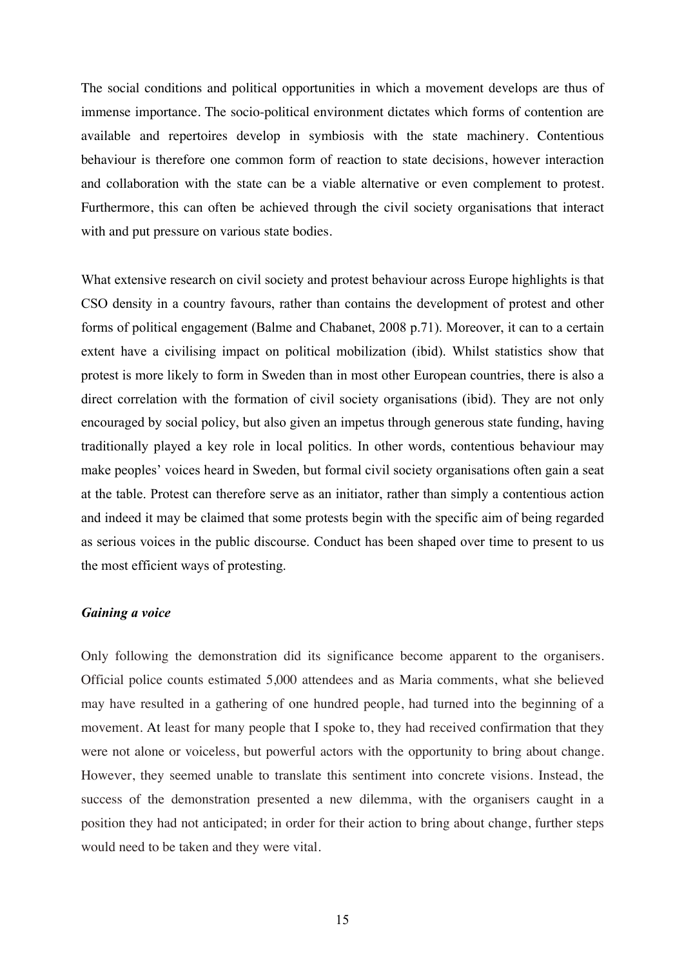The social conditions and political opportunities in which a movement develops are thus of immense importance. The socio-political environment dictates which forms of contention are available and repertoires develop in symbiosis with the state machinery. Contentious behaviour is therefore one common form of reaction to state decisions, however interaction and collaboration with the state can be a viable alternative or even complement to protest. Furthermore, this can often be achieved through the civil society organisations that interact with and put pressure on various state bodies.

What extensive research on civil society and protest behaviour across Europe highlights is that CSO density in a country favours, rather than contains the development of protest and other forms of political engagement (Balme and Chabanet, 2008 p.71). Moreover, it can to a certain extent have a civilising impact on political mobilization (ibid). Whilst statistics show that protest is more likely to form in Sweden than in most other European countries, there is also a direct correlation with the formation of civil society organisations (ibid). They are not only encouraged by social policy, but also given an impetus through generous state funding, having traditionally played a key role in local politics. In other words, contentious behaviour may make peoples' voices heard in Sweden, but formal civil society organisations often gain a seat at the table. Protest can therefore serve as an initiator, rather than simply a contentious action and indeed it may be claimed that some protests begin with the specific aim of being regarded as serious voices in the public discourse. Conduct has been shaped over time to present to us the most efficient ways of protesting.

#### *Gaining a voice*

Only following the demonstration did its significance become apparent to the organisers. Official police counts estimated 5,000 attendees and as Maria comments, what she believed may have resulted in a gathering of one hundred people, had turned into the beginning of a movement. At least for many people that I spoke to, they had received confirmation that they were not alone or voiceless, but powerful actors with the opportunity to bring about change. However, they seemed unable to translate this sentiment into concrete visions. Instead, the success of the demonstration presented a new dilemma, with the organisers caught in a position they had not anticipated; in order for their action to bring about change, further steps would need to be taken and they were vital.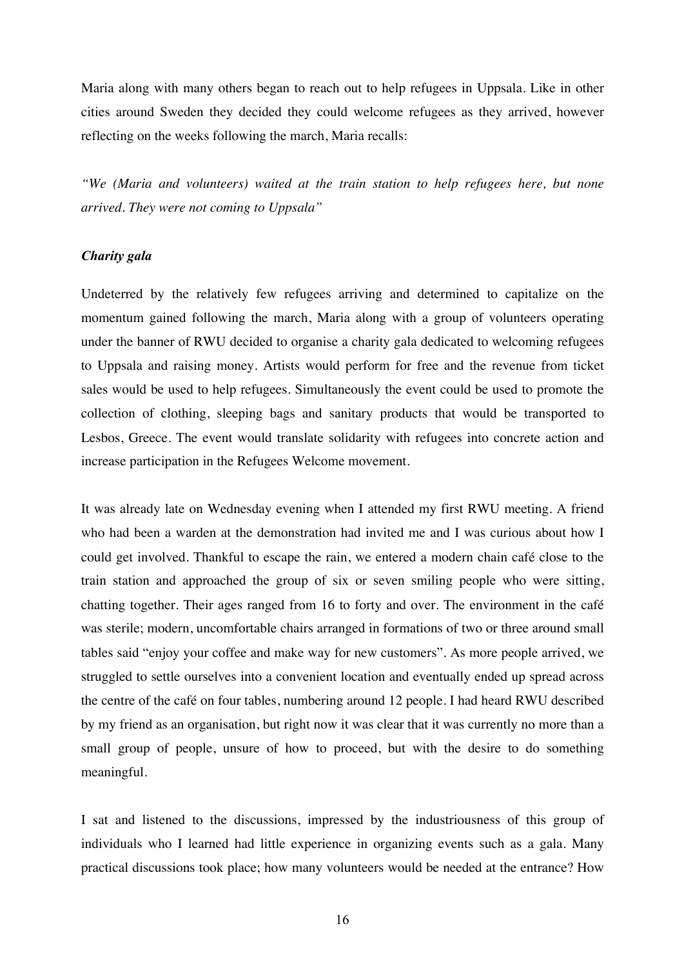Maria along with many others began to reach out to help refugees in Uppsala. Like in other cities around Sweden they decided they could welcome refugees as they arrived, however reflecting on the weeks following the march, Maria recalls:

*"We (Maria and volunteers) waited at the train station to help refugees here, but none arrived. They were not coming to Uppsala"*

#### *Charity gala*

Undeterred by the relatively few refugees arriving and determined to capitalize on the momentum gained following the march, Maria along with a group of volunteers operating under the banner of RWU decided to organise a charity gala dedicated to welcoming refugees to Uppsala and raising money. Artists would perform for free and the revenue from ticket sales would be used to help refugees. Simultaneously the event could be used to promote the collection of clothing, sleeping bags and sanitary products that would be transported to Lesbos, Greece. The event would translate solidarity with refugees into concrete action and increase participation in the Refugees Welcome movement.

It was already late on Wednesday evening when I attended my first RWU meeting. A friend who had been a warden at the demonstration had invited me and I was curious about how I could get involved. Thankful to escape the rain, we entered a modern chain café close to the train station and approached the group of six or seven smiling people who were sitting, chatting together. Their ages ranged from 16 to forty and over. The environment in the café was sterile; modern, uncomfortable chairs arranged in formations of two or three around small tables said "enjoy your coffee and make way for new customers". As more people arrived, we struggled to settle ourselves into a convenient location and eventually ended up spread across the centre of the café on four tables, numbering around 12 people. I had heard RWU described by my friend as an organisation, but right now it was clear that it was currently no more than a small group of people, unsure of how to proceed, but with the desire to do something meaningful.

I sat and listened to the discussions, impressed by the industriousness of this group of individuals who I learned had little experience in organizing events such as a gala. Many practical discussions took place; how many volunteers would be needed at the entrance? How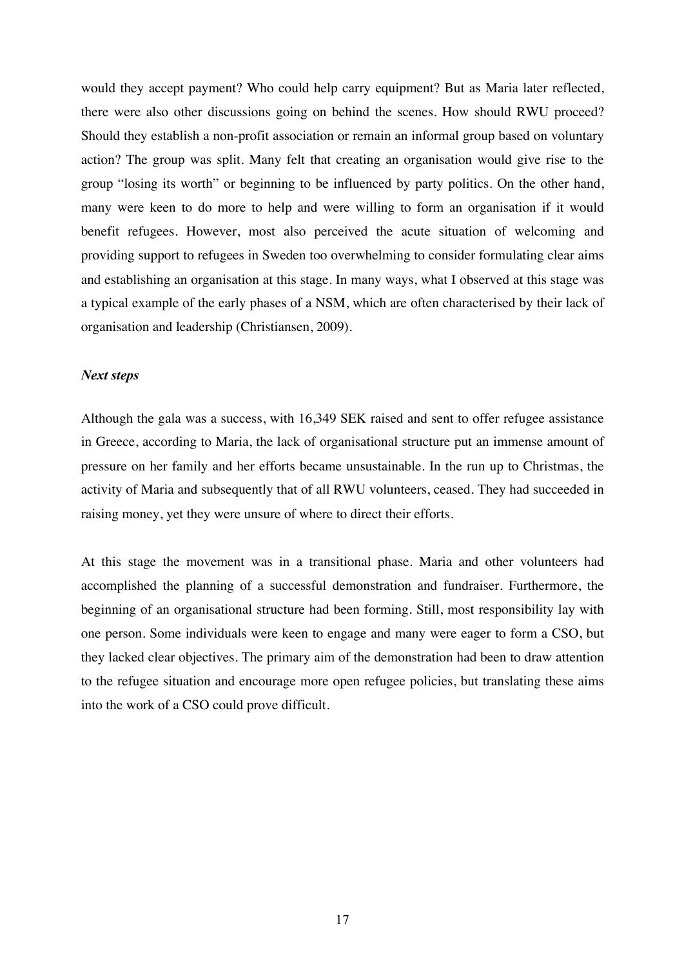would they accept payment? Who could help carry equipment? But as Maria later reflected, there were also other discussions going on behind the scenes. How should RWU proceed? Should they establish a non-profit association or remain an informal group based on voluntary action? The group was split. Many felt that creating an organisation would give rise to the group "losing its worth" or beginning to be influenced by party politics. On the other hand, many were keen to do more to help and were willing to form an organisation if it would benefit refugees. However, most also perceived the acute situation of welcoming and providing support to refugees in Sweden too overwhelming to consider formulating clear aims and establishing an organisation at this stage. In many ways, what I observed at this stage was a typical example of the early phases of a NSM, which are often characterised by their lack of organisation and leadership (Christiansen, 2009).

#### *Next steps*

Although the gala was a success, with 16,349 SEK raised and sent to offer refugee assistance in Greece, according to Maria, the lack of organisational structure put an immense amount of pressure on her family and her efforts became unsustainable. In the run up to Christmas, the activity of Maria and subsequently that of all RWU volunteers, ceased. They had succeeded in raising money, yet they were unsure of where to direct their efforts.

At this stage the movement was in a transitional phase. Maria and other volunteers had accomplished the planning of a successful demonstration and fundraiser. Furthermore, the beginning of an organisational structure had been forming. Still, most responsibility lay with one person. Some individuals were keen to engage and many were eager to form a CSO, but they lacked clear objectives. The primary aim of the demonstration had been to draw attention to the refugee situation and encourage more open refugee policies, but translating these aims into the work of a CSO could prove difficult.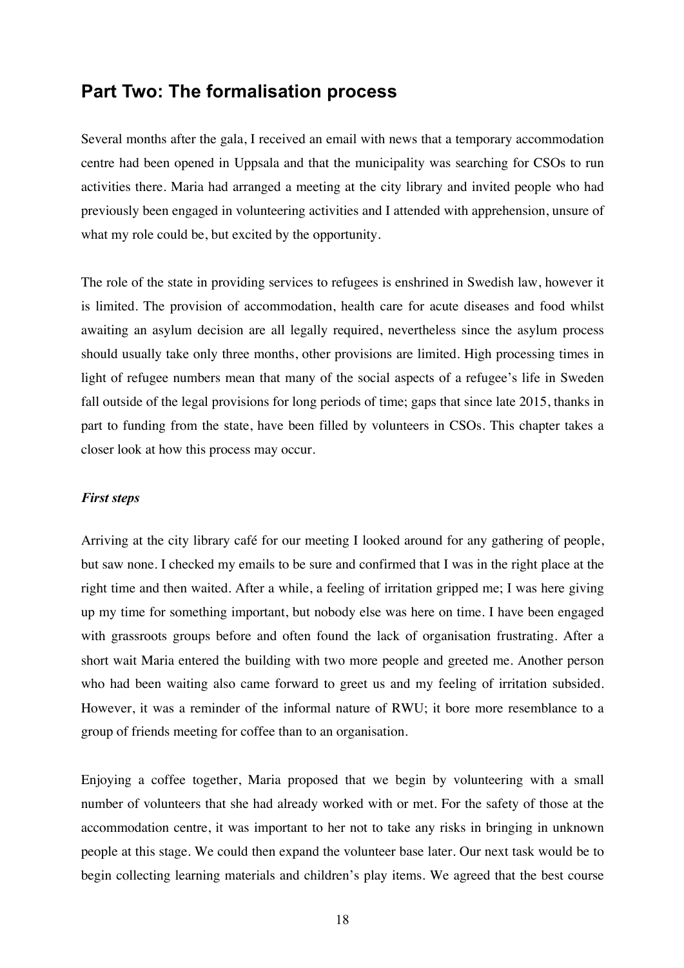## **Part Two: The formalisation process**

Several months after the gala, I received an email with news that a temporary accommodation centre had been opened in Uppsala and that the municipality was searching for CSOs to run activities there. Maria had arranged a meeting at the city library and invited people who had previously been engaged in volunteering activities and I attended with apprehension, unsure of what my role could be, but excited by the opportunity.

The role of the state in providing services to refugees is enshrined in Swedish law, however it is limited. The provision of accommodation, health care for acute diseases and food whilst awaiting an asylum decision are all legally required, nevertheless since the asylum process should usually take only three months, other provisions are limited. High processing times in light of refugee numbers mean that many of the social aspects of a refugee's life in Sweden fall outside of the legal provisions for long periods of time; gaps that since late 2015, thanks in part to funding from the state, have been filled by volunteers in CSOs. This chapter takes a closer look at how this process may occur.

#### *First steps*

Arriving at the city library café for our meeting I looked around for any gathering of people, but saw none. I checked my emails to be sure and confirmed that I was in the right place at the right time and then waited. After a while, a feeling of irritation gripped me; I was here giving up my time for something important, but nobody else was here on time. I have been engaged with grassroots groups before and often found the lack of organisation frustrating. After a short wait Maria entered the building with two more people and greeted me. Another person who had been waiting also came forward to greet us and my feeling of irritation subsided. However, it was a reminder of the informal nature of RWU; it bore more resemblance to a group of friends meeting for coffee than to an organisation.

Enjoying a coffee together, Maria proposed that we begin by volunteering with a small number of volunteers that she had already worked with or met. For the safety of those at the accommodation centre, it was important to her not to take any risks in bringing in unknown people at this stage. We could then expand the volunteer base later. Our next task would be to begin collecting learning materials and children's play items. We agreed that the best course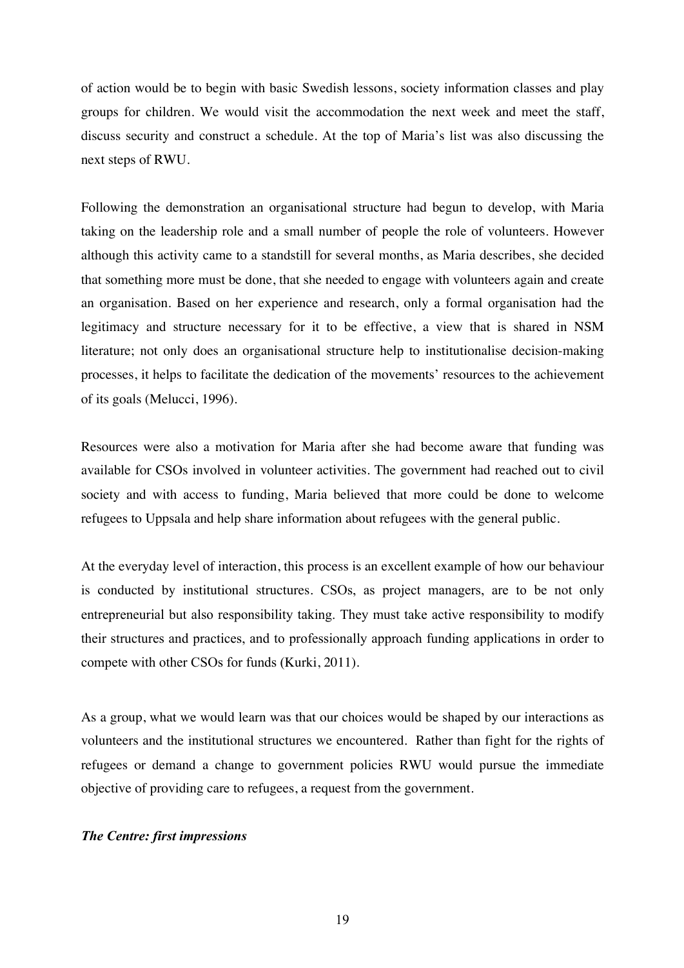of action would be to begin with basic Swedish lessons, society information classes and play groups for children. We would visit the accommodation the next week and meet the staff, discuss security and construct a schedule. At the top of Maria's list was also discussing the next steps of RWU.

Following the demonstration an organisational structure had begun to develop, with Maria taking on the leadership role and a small number of people the role of volunteers. However although this activity came to a standstill for several months, as Maria describes, she decided that something more must be done, that she needed to engage with volunteers again and create an organisation. Based on her experience and research, only a formal organisation had the legitimacy and structure necessary for it to be effective, a view that is shared in NSM literature; not only does an organisational structure help to institutionalise decision-making processes, it helps to facilitate the dedication of the movements' resources to the achievement of its goals (Melucci, 1996).

Resources were also a motivation for Maria after she had become aware that funding was available for CSOs involved in volunteer activities. The government had reached out to civil society and with access to funding, Maria believed that more could be done to welcome refugees to Uppsala and help share information about refugees with the general public.

At the everyday level of interaction, this process is an excellent example of how our behaviour is conducted by institutional structures. CSOs, as project managers, are to be not only entrepreneurial but also responsibility taking. They must take active responsibility to modify their structures and practices, and to professionally approach funding applications in order to compete with other CSOs for funds (Kurki, 2011).

As a group, what we would learn was that our choices would be shaped by our interactions as volunteers and the institutional structures we encountered. Rather than fight for the rights of refugees or demand a change to government policies RWU would pursue the immediate objective of providing care to refugees, a request from the government.

#### *The Centre: first impressions*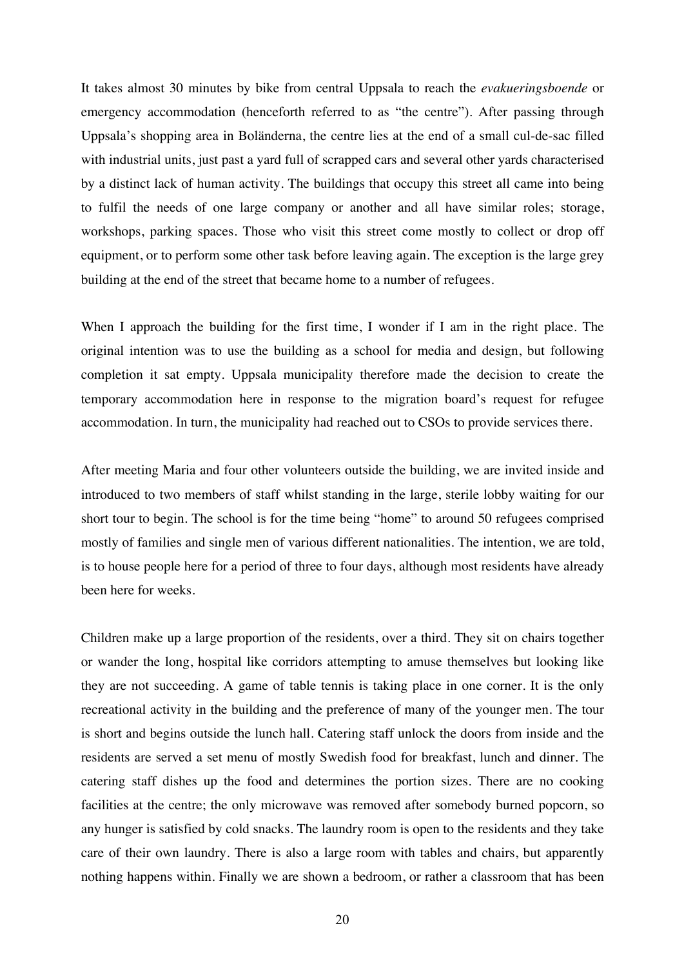It takes almost 30 minutes by bike from central Uppsala to reach the *evakueringsboende* or emergency accommodation (henceforth referred to as "the centre"). After passing through Uppsala's shopping area in Boländerna, the centre lies at the end of a small cul-de-sac filled with industrial units, just past a yard full of scrapped cars and several other yards characterised by a distinct lack of human activity. The buildings that occupy this street all came into being to fulfil the needs of one large company or another and all have similar roles; storage, workshops, parking spaces. Those who visit this street come mostly to collect or drop off equipment, or to perform some other task before leaving again. The exception is the large grey building at the end of the street that became home to a number of refugees.

When I approach the building for the first time, I wonder if I am in the right place. The original intention was to use the building as a school for media and design, but following completion it sat empty. Uppsala municipality therefore made the decision to create the temporary accommodation here in response to the migration board's request for refugee accommodation. In turn, the municipality had reached out to CSOs to provide services there.

After meeting Maria and four other volunteers outside the building, we are invited inside and introduced to two members of staff whilst standing in the large, sterile lobby waiting for our short tour to begin. The school is for the time being "home" to around 50 refugees comprised mostly of families and single men of various different nationalities. The intention, we are told, is to house people here for a period of three to four days, although most residents have already been here for weeks.

Children make up a large proportion of the residents, over a third. They sit on chairs together or wander the long, hospital like corridors attempting to amuse themselves but looking like they are not succeeding. A game of table tennis is taking place in one corner. It is the only recreational activity in the building and the preference of many of the younger men. The tour is short and begins outside the lunch hall. Catering staff unlock the doors from inside and the residents are served a set menu of mostly Swedish food for breakfast, lunch and dinner. The catering staff dishes up the food and determines the portion sizes. There are no cooking facilities at the centre; the only microwave was removed after somebody burned popcorn, so any hunger is satisfied by cold snacks. The laundry room is open to the residents and they take care of their own laundry. There is also a large room with tables and chairs, but apparently nothing happens within. Finally we are shown a bedroom, or rather a classroom that has been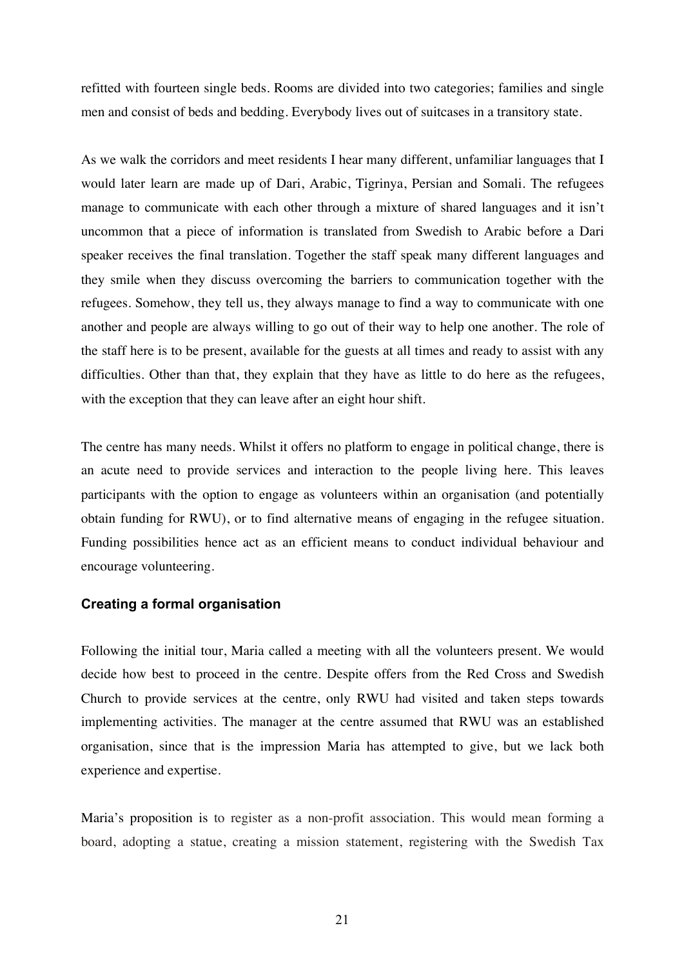refitted with fourteen single beds. Rooms are divided into two categories; families and single men and consist of beds and bedding. Everybody lives out of suitcases in a transitory state.

As we walk the corridors and meet residents I hear many different, unfamiliar languages that I would later learn are made up of Dari, Arabic, Tigrinya, Persian and Somali. The refugees manage to communicate with each other through a mixture of shared languages and it isn't uncommon that a piece of information is translated from Swedish to Arabic before a Dari speaker receives the final translation. Together the staff speak many different languages and they smile when they discuss overcoming the barriers to communication together with the refugees. Somehow, they tell us, they always manage to find a way to communicate with one another and people are always willing to go out of their way to help one another. The role of the staff here is to be present, available for the guests at all times and ready to assist with any difficulties. Other than that, they explain that they have as little to do here as the refugees, with the exception that they can leave after an eight hour shift.

The centre has many needs. Whilst it offers no platform to engage in political change, there is an acute need to provide services and interaction to the people living here. This leaves participants with the option to engage as volunteers within an organisation (and potentially obtain funding for RWU), or to find alternative means of engaging in the refugee situation. Funding possibilities hence act as an efficient means to conduct individual behaviour and encourage volunteering.

#### **Creating a formal organisation**

Following the initial tour, Maria called a meeting with all the volunteers present. We would decide how best to proceed in the centre. Despite offers from the Red Cross and Swedish Church to provide services at the centre, only RWU had visited and taken steps towards implementing activities. The manager at the centre assumed that RWU was an established organisation, since that is the impression Maria has attempted to give, but we lack both experience and expertise.

Maria's proposition is to register as a non-profit association. This would mean forming a board, adopting a statue, creating a mission statement, registering with the Swedish Tax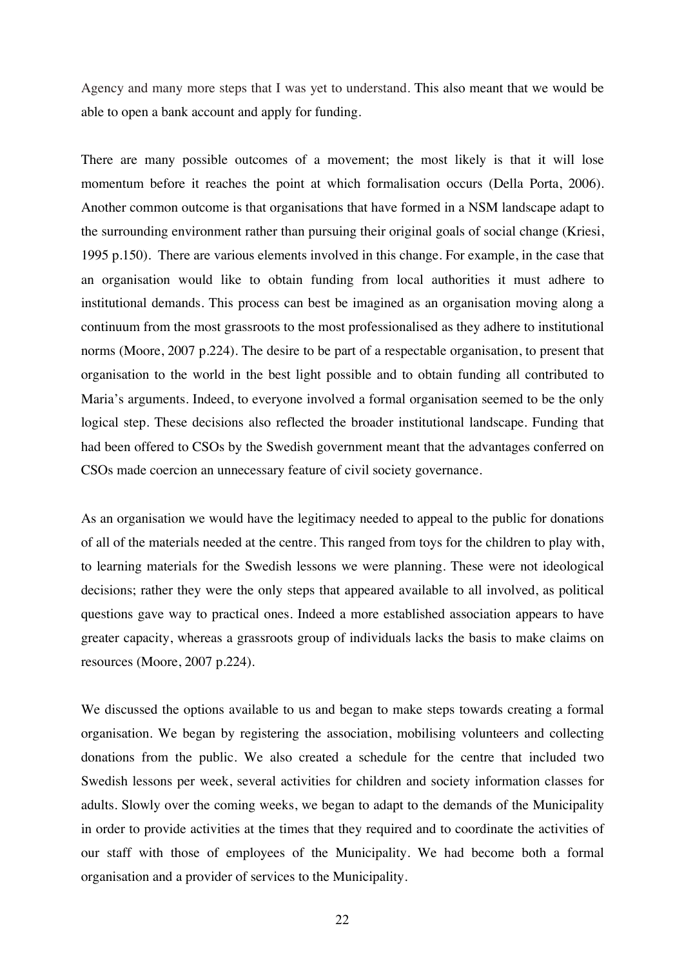Agency and many more steps that I was yet to understand. This also meant that we would be able to open a bank account and apply for funding.

There are many possible outcomes of a movement; the most likely is that it will lose momentum before it reaches the point at which formalisation occurs (Della Porta, 2006). Another common outcome is that organisations that have formed in a NSM landscape adapt to the surrounding environment rather than pursuing their original goals of social change (Kriesi, 1995 p.150). There are various elements involved in this change. For example, in the case that an organisation would like to obtain funding from local authorities it must adhere to institutional demands. This process can best be imagined as an organisation moving along a continuum from the most grassroots to the most professionalised as they adhere to institutional norms (Moore, 2007 p.224). The desire to be part of a respectable organisation, to present that organisation to the world in the best light possible and to obtain funding all contributed to Maria's arguments. Indeed, to everyone involved a formal organisation seemed to be the only logical step. These decisions also reflected the broader institutional landscape. Funding that had been offered to CSOs by the Swedish government meant that the advantages conferred on CSOs made coercion an unnecessary feature of civil society governance.

As an organisation we would have the legitimacy needed to appeal to the public for donations of all of the materials needed at the centre. This ranged from toys for the children to play with, to learning materials for the Swedish lessons we were planning. These were not ideological decisions; rather they were the only steps that appeared available to all involved, as political questions gave way to practical ones. Indeed a more established association appears to have greater capacity, whereas a grassroots group of individuals lacks the basis to make claims on resources (Moore, 2007 p.224).

We discussed the options available to us and began to make steps towards creating a formal organisation. We began by registering the association, mobilising volunteers and collecting donations from the public. We also created a schedule for the centre that included two Swedish lessons per week, several activities for children and society information classes for adults. Slowly over the coming weeks, we began to adapt to the demands of the Municipality in order to provide activities at the times that they required and to coordinate the activities of our staff with those of employees of the Municipality. We had become both a formal organisation and a provider of services to the Municipality.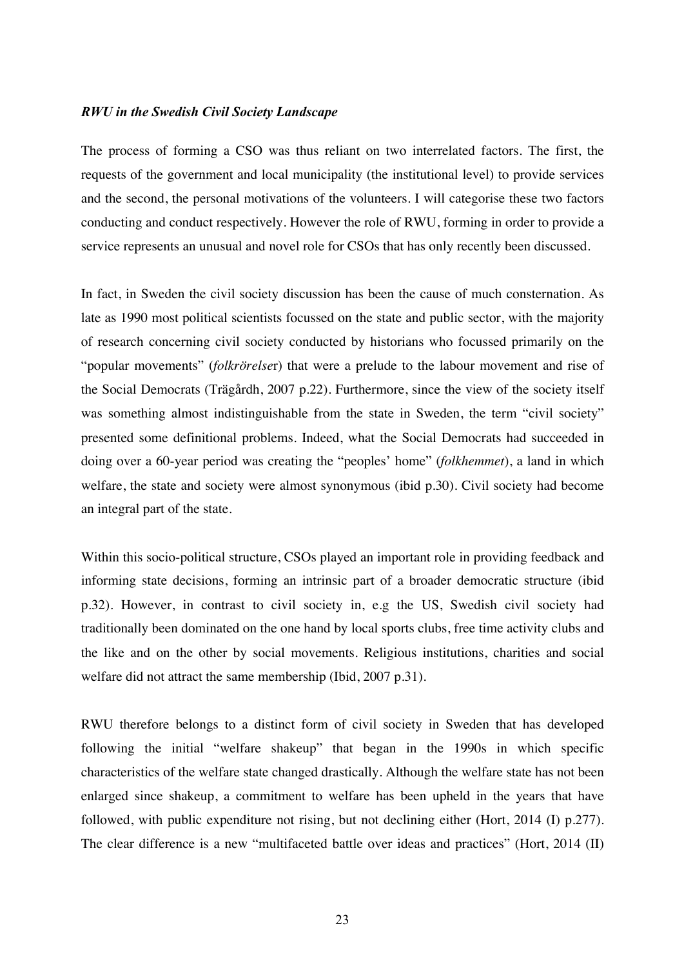#### *RWU in the Swedish Civil Society Landscape*

The process of forming a CSO was thus reliant on two interrelated factors. The first, the requests of the government and local municipality (the institutional level) to provide services and the second, the personal motivations of the volunteers. I will categorise these two factors conducting and conduct respectively. However the role of RWU, forming in order to provide a service represents an unusual and novel role for CSOs that has only recently been discussed.

In fact, in Sweden the civil society discussion has been the cause of much consternation. As late as 1990 most political scientists focussed on the state and public sector, with the majority of research concerning civil society conducted by historians who focussed primarily on the "popular movements" (*folkrörelse*r) that were a prelude to the labour movement and rise of the Social Democrats (Trägårdh, 2007 p.22). Furthermore, since the view of the society itself was something almost indistinguishable from the state in Sweden, the term "civil society" presented some definitional problems. Indeed, what the Social Democrats had succeeded in doing over a 60-year period was creating the "peoples' home" (*folkhemmet*), a land in which welfare, the state and society were almost synonymous (ibid p.30). Civil society had become an integral part of the state.

Within this socio-political structure, CSOs played an important role in providing feedback and informing state decisions, forming an intrinsic part of a broader democratic structure (ibid p.32). However, in contrast to civil society in, e.g the US, Swedish civil society had traditionally been dominated on the one hand by local sports clubs, free time activity clubs and the like and on the other by social movements. Religious institutions, charities and social welfare did not attract the same membership (Ibid, 2007 p.31).

RWU therefore belongs to a distinct form of civil society in Sweden that has developed following the initial "welfare shakeup" that began in the 1990s in which specific characteristics of the welfare state changed drastically. Although the welfare state has not been enlarged since shakeup, a commitment to welfare has been upheld in the years that have followed, with public expenditure not rising, but not declining either (Hort, 2014 (I) p.277). The clear difference is a new "multifaceted battle over ideas and practices" (Hort, 2014 (II)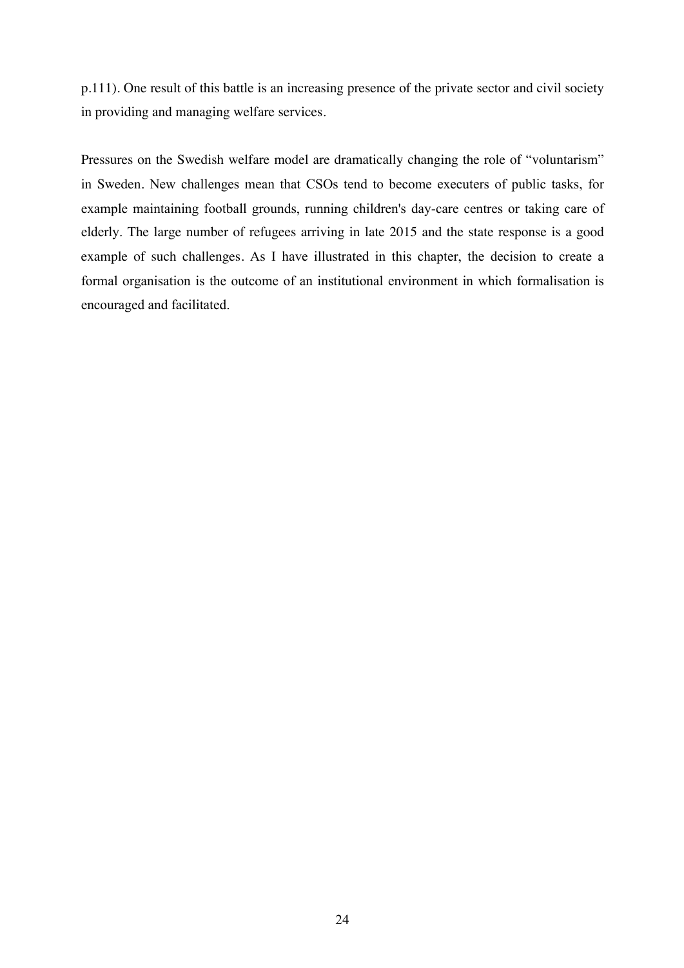p.111). One result of this battle is an increasing presence of the private sector and civil society in providing and managing welfare services.

Pressures on the Swedish welfare model are dramatically changing the role of "voluntarism" in Sweden. New challenges mean that CSOs tend to become executers of public tasks, for example maintaining football grounds, running children's day-care centres or taking care of elderly. The large number of refugees arriving in late 2015 and the state response is a good example of such challenges. As I have illustrated in this chapter, the decision to create a formal organisation is the outcome of an institutional environment in which formalisation is encouraged and facilitated.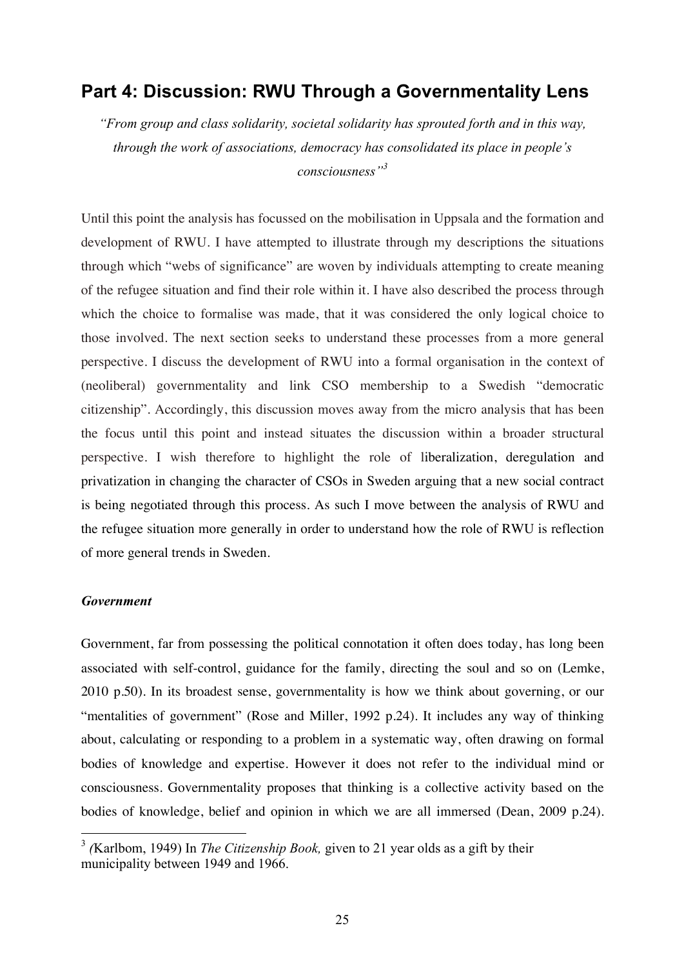### **Part 4: Discussion: RWU Through a Governmentality Lens**

*"From group and class solidarity, societal solidarity has sprouted forth and in this way, through the work of associations, democracy has consolidated its place in people's consciousness"<sup>3</sup>*

Until this point the analysis has focussed on the mobilisation in Uppsala and the formation and development of RWU. I have attempted to illustrate through my descriptions the situations through which "webs of significance" are woven by individuals attempting to create meaning of the refugee situation and find their role within it. I have also described the process through which the choice to formalise was made, that it was considered the only logical choice to those involved. The next section seeks to understand these processes from a more general perspective. I discuss the development of RWU into a formal organisation in the context of (neoliberal) governmentality and link CSO membership to a Swedish "democratic citizenship". Accordingly, this discussion moves away from the micro analysis that has been the focus until this point and instead situates the discussion within a broader structural perspective. I wish therefore to highlight the role of liberalization, deregulation and privatization in changing the character of CSOs in Sweden arguing that a new social contract is being negotiated through this process. As such I move between the analysis of RWU and the refugee situation more generally in order to understand how the role of RWU is reflection of more general trends in Sweden.

#### *Government*

Government, far from possessing the political connotation it often does today, has long been associated with self-control, guidance for the family, directing the soul and so on (Lemke, 2010 p.50). In its broadest sense, governmentality is how we think about governing, or our "mentalities of government" (Rose and Miller, 1992 p.24). It includes any way of thinking about, calculating or responding to a problem in a systematic way, often drawing on formal bodies of knowledge and expertise. However it does not refer to the individual mind or consciousness. Governmentality proposes that thinking is a collective activity based on the bodies of knowledge, belief and opinion in which we are all immersed (Dean, 2009 p.24).

 <sup>3</sup> *(*Karlbom, 1949) In *The Citizenship Book,* given to 21 year olds as a gift by their municipality between 1949 and 1966.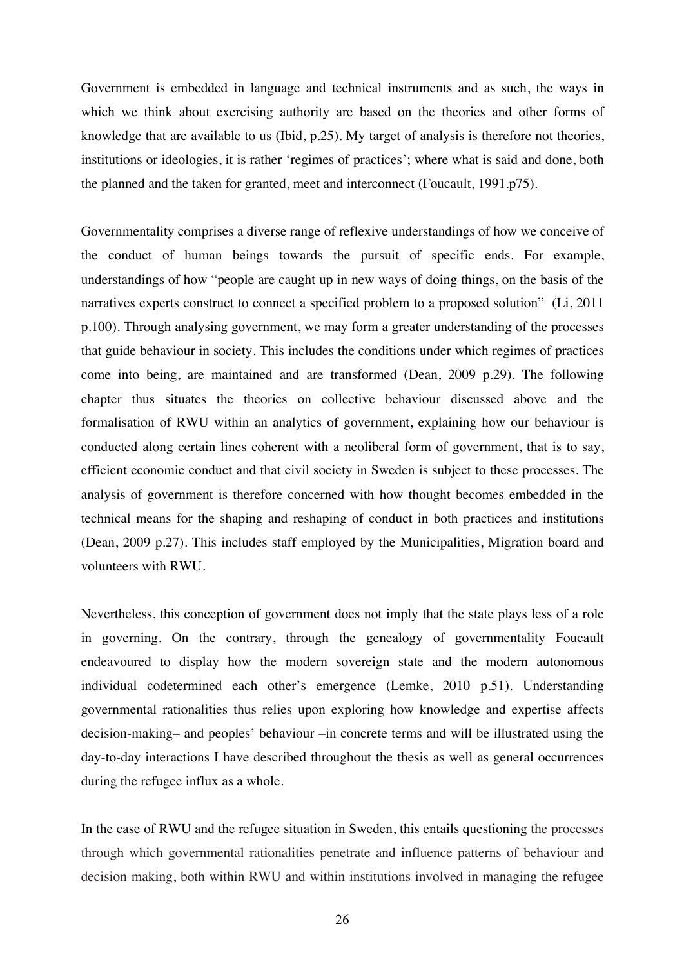Government is embedded in language and technical instruments and as such, the ways in which we think about exercising authority are based on the theories and other forms of knowledge that are available to us (Ibid, p.25). My target of analysis is therefore not theories, institutions or ideologies, it is rather 'regimes of practices'; where what is said and done, both the planned and the taken for granted, meet and interconnect (Foucault, 1991.p75).

Governmentality comprises a diverse range of reflexive understandings of how we conceive of the conduct of human beings towards the pursuit of specific ends. For example, understandings of how "people are caught up in new ways of doing things, on the basis of the narratives experts construct to connect a specified problem to a proposed solution" (Li, 2011 p.100). Through analysing government, we may form a greater understanding of the processes that guide behaviour in society. This includes the conditions under which regimes of practices come into being, are maintained and are transformed (Dean, 2009 p.29). The following chapter thus situates the theories on collective behaviour discussed above and the formalisation of RWU within an analytics of government, explaining how our behaviour is conducted along certain lines coherent with a neoliberal form of government, that is to say, efficient economic conduct and that civil society in Sweden is subject to these processes. The analysis of government is therefore concerned with how thought becomes embedded in the technical means for the shaping and reshaping of conduct in both practices and institutions (Dean, 2009 p.27). This includes staff employed by the Municipalities, Migration board and volunteers with RWU.

Nevertheless, this conception of government does not imply that the state plays less of a role in governing. On the contrary, through the genealogy of governmentality Foucault endeavoured to display how the modern sovereign state and the modern autonomous individual codetermined each other's emergence (Lemke, 2010 p.51). Understanding governmental rationalities thus relies upon exploring how knowledge and expertise affects decision-making– and peoples' behaviour –in concrete terms and will be illustrated using the day-to-day interactions I have described throughout the thesis as well as general occurrences during the refugee influx as a whole.

In the case of RWU and the refugee situation in Sweden, this entails questioning the processes through which governmental rationalities penetrate and influence patterns of behaviour and decision making, both within RWU and within institutions involved in managing the refugee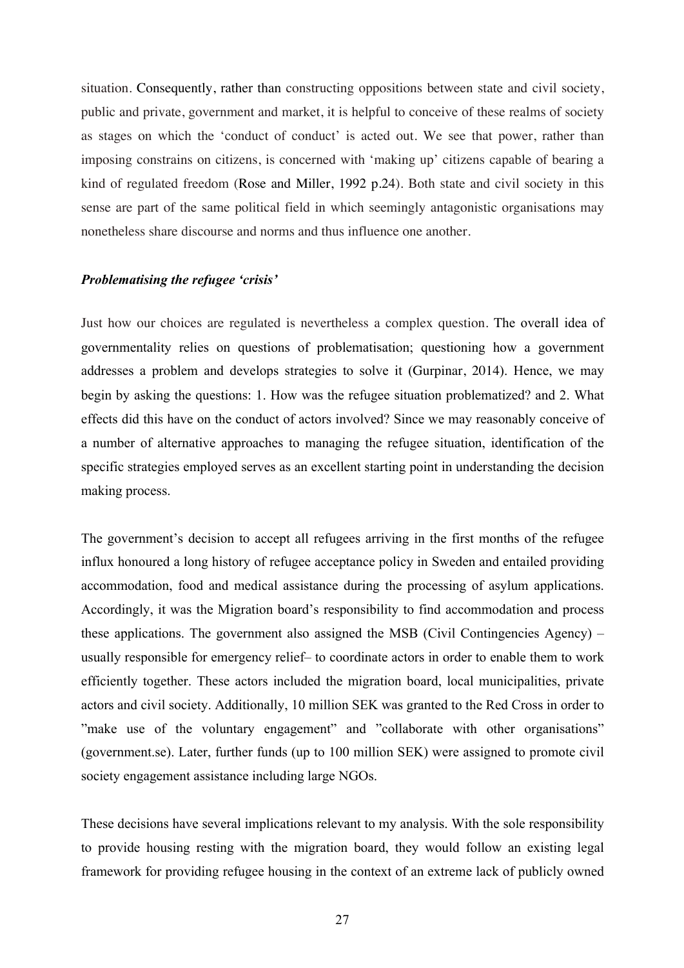situation. Consequently, rather than constructing oppositions between state and civil society, public and private, government and market, it is helpful to conceive of these realms of society as stages on which the 'conduct of conduct' is acted out. We see that power, rather than imposing constrains on citizens, is concerned with 'making up' citizens capable of bearing a kind of regulated freedom (Rose and Miller, 1992 p.24). Both state and civil society in this sense are part of the same political field in which seemingly antagonistic organisations may nonetheless share discourse and norms and thus influence one another.

#### *Problematising the refugee 'crisis'*

Just how our choices are regulated is nevertheless a complex question. The overall idea of governmentality relies on questions of problematisation; questioning how a government addresses a problem and develops strategies to solve it (Gurpinar, 2014). Hence, we may begin by asking the questions: 1. How was the refugee situation problematized? and 2. What effects did this have on the conduct of actors involved? Since we may reasonably conceive of a number of alternative approaches to managing the refugee situation, identification of the specific strategies employed serves as an excellent starting point in understanding the decision making process.

The government's decision to accept all refugees arriving in the first months of the refugee influx honoured a long history of refugee acceptance policy in Sweden and entailed providing accommodation, food and medical assistance during the processing of asylum applications. Accordingly, it was the Migration board's responsibility to find accommodation and process these applications. The government also assigned the MSB (Civil Contingencies Agency) – usually responsible for emergency relief– to coordinate actors in order to enable them to work efficiently together. These actors included the migration board, local municipalities, private actors and civil society. Additionally, 10 million SEK was granted to the Red Cross in order to "make use of the voluntary engagement" and "collaborate with other organisations" (government.se). Later, further funds (up to 100 million SEK) were assigned to promote civil society engagement assistance including large NGOs.

These decisions have several implications relevant to my analysis. With the sole responsibility to provide housing resting with the migration board, they would follow an existing legal framework for providing refugee housing in the context of an extreme lack of publicly owned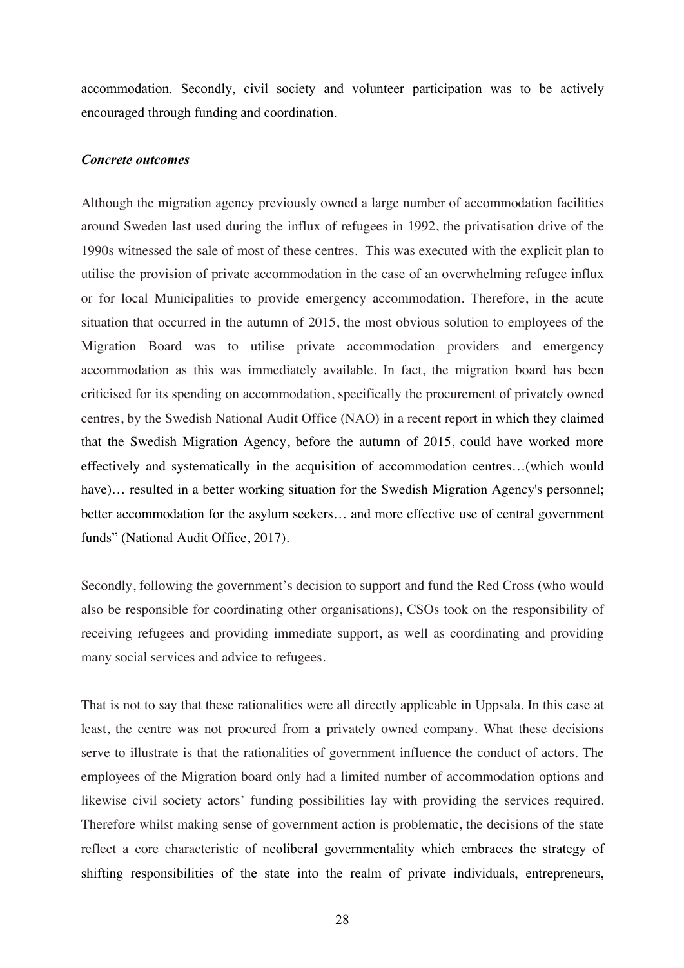accommodation. Secondly, civil society and volunteer participation was to be actively encouraged through funding and coordination.

#### *Concrete outcomes*

Although the migration agency previously owned a large number of accommodation facilities around Sweden last used during the influx of refugees in 1992, the privatisation drive of the 1990s witnessed the sale of most of these centres. This was executed with the explicit plan to utilise the provision of private accommodation in the case of an overwhelming refugee influx or for local Municipalities to provide emergency accommodation. Therefore, in the acute situation that occurred in the autumn of 2015, the most obvious solution to employees of the Migration Board was to utilise private accommodation providers and emergency accommodation as this was immediately available. In fact, the migration board has been criticised for its spending on accommodation, specifically the procurement of privately owned centres, by the Swedish National Audit Office (NAO) in a recent report in which they claimed that the Swedish Migration Agency, before the autumn of 2015, could have worked more effectively and systematically in the acquisition of accommodation centres…(which would have)… resulted in a better working situation for the Swedish Migration Agency's personnel; better accommodation for the asylum seekers… and more effective use of central government funds" (National Audit Office, 2017).

Secondly, following the government's decision to support and fund the Red Cross (who would also be responsible for coordinating other organisations), CSOs took on the responsibility of receiving refugees and providing immediate support, as well as coordinating and providing many social services and advice to refugees.

That is not to say that these rationalities were all directly applicable in Uppsala. In this case at least, the centre was not procured from a privately owned company. What these decisions serve to illustrate is that the rationalities of government influence the conduct of actors. The employees of the Migration board only had a limited number of accommodation options and likewise civil society actors' funding possibilities lay with providing the services required. Therefore whilst making sense of government action is problematic, the decisions of the state reflect a core characteristic of neoliberal governmentality which embraces the strategy of shifting responsibilities of the state into the realm of private individuals, entrepreneurs,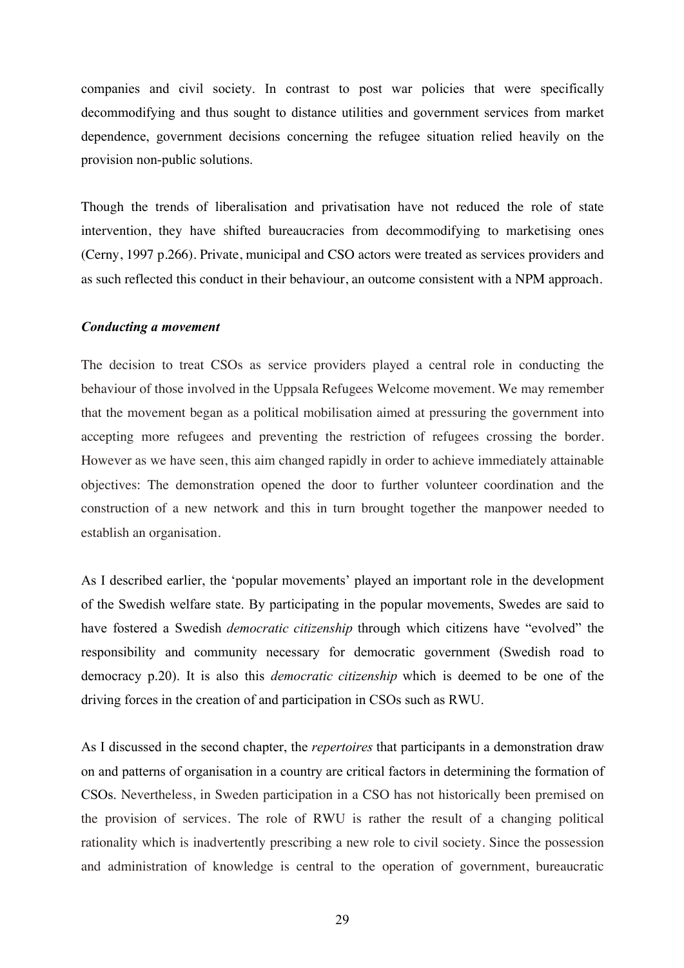companies and civil society. In contrast to post war policies that were specifically decommodifying and thus sought to distance utilities and government services from market dependence, government decisions concerning the refugee situation relied heavily on the provision non-public solutions.

Though the trends of liberalisation and privatisation have not reduced the role of state intervention, they have shifted bureaucracies from decommodifying to marketising ones (Cerny, 1997 p.266). Private, municipal and CSO actors were treated as services providers and as such reflected this conduct in their behaviour, an outcome consistent with a NPM approach.

#### *Conducting a movement*

The decision to treat CSOs as service providers played a central role in conducting the behaviour of those involved in the Uppsala Refugees Welcome movement. We may remember that the movement began as a political mobilisation aimed at pressuring the government into accepting more refugees and preventing the restriction of refugees crossing the border. However as we have seen, this aim changed rapidly in order to achieve immediately attainable objectives: The demonstration opened the door to further volunteer coordination and the construction of a new network and this in turn brought together the manpower needed to establish an organisation.

As I described earlier, the 'popular movements' played an important role in the development of the Swedish welfare state. By participating in the popular movements, Swedes are said to have fostered a Swedish *democratic citizenship* through which citizens have "evolved" the responsibility and community necessary for democratic government (Swedish road to democracy p.20). It is also this *democratic citizenship* which is deemed to be one of the driving forces in the creation of and participation in CSOs such as RWU.

As I discussed in the second chapter, the *repertoires* that participants in a demonstration draw on and patterns of organisation in a country are critical factors in determining the formation of CSOs. Nevertheless, in Sweden participation in a CSO has not historically been premised on the provision of services. The role of RWU is rather the result of a changing political rationality which is inadvertently prescribing a new role to civil society. Since the possession and administration of knowledge is central to the operation of government, bureaucratic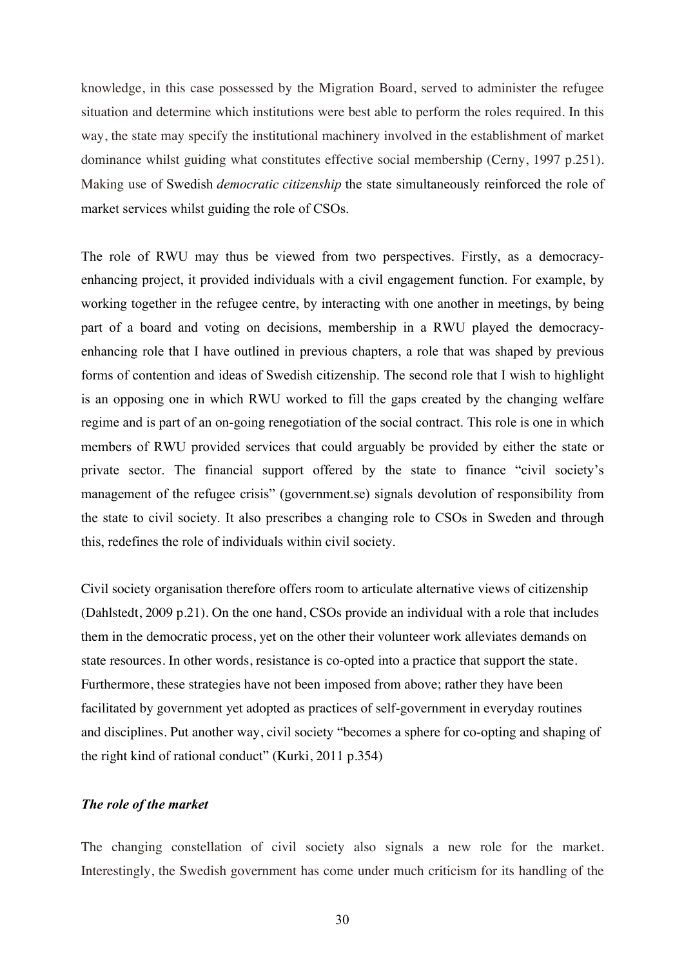knowledge, in this case possessed by the Migration Board, served to administer the refugee situation and determine which institutions were best able to perform the roles required. In this way, the state may specify the institutional machinery involved in the establishment of market dominance whilst guiding what constitutes effective social membership (Cerny, 1997 p.251). Making use of Swedish *democratic citizenship* the state simultaneously reinforced the role of market services whilst guiding the role of CSOs.

The role of RWU may thus be viewed from two perspectives. Firstly, as a democracyenhancing project, it provided individuals with a civil engagement function. For example, by working together in the refugee centre, by interacting with one another in meetings, by being part of a board and voting on decisions, membership in a RWU played the democracyenhancing role that I have outlined in previous chapters, a role that was shaped by previous forms of contention and ideas of Swedish citizenship. The second role that I wish to highlight is an opposing one in which RWU worked to fill the gaps created by the changing welfare regime and is part of an on-going renegotiation of the social contract. This role is one in which members of RWU provided services that could arguably be provided by either the state or private sector. The financial support offered by the state to finance "civil society's management of the refugee crisis" (government.se) signals devolution of responsibility from the state to civil society. It also prescribes a changing role to CSOs in Sweden and through this, redefines the role of individuals within civil society.

Civil society organisation therefore offers room to articulate alternative views of citizenship (Dahlstedt, 2009 p.21). On the one hand, CSOs provide an individual with a role that includes them in the democratic process, yet on the other their volunteer work alleviates demands on state resources. In other words, resistance is co-opted into a practice that support the state. Furthermore, these strategies have not been imposed from above; rather they have been facilitated by government yet adopted as practices of self-government in everyday routines and disciplines. Put another way, civil society "becomes a sphere for co-opting and shaping of the right kind of rational conduct" (Kurki, 2011 p.354)

#### *The role of the market*

The changing constellation of civil society also signals a new role for the market. Interestingly, the Swedish government has come under much criticism for its handling of the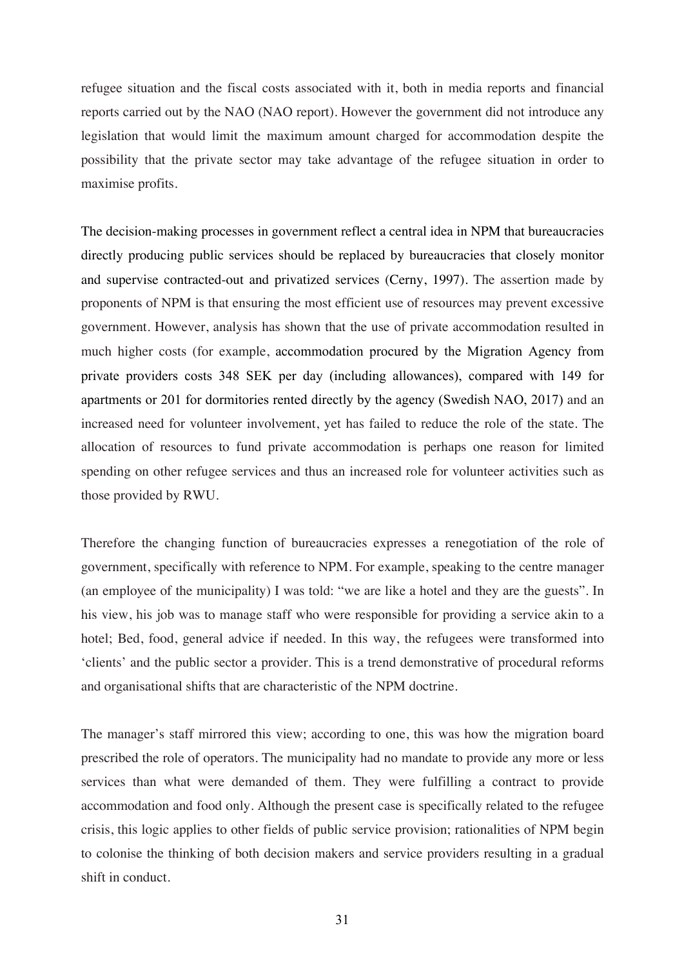refugee situation and the fiscal costs associated with it, both in media reports and financial reports carried out by the NAO (NAO report). However the government did not introduce any legislation that would limit the maximum amount charged for accommodation despite the possibility that the private sector may take advantage of the refugee situation in order to maximise profits.

The decision-making processes in government reflect a central idea in NPM that bureaucracies directly producing public services should be replaced by bureaucracies that closely monitor and supervise contracted-out and privatized services (Cerny, 1997). The assertion made by proponents of NPM is that ensuring the most efficient use of resources may prevent excessive government. However, analysis has shown that the use of private accommodation resulted in much higher costs (for example, accommodation procured by the Migration Agency from private providers costs 348 SEK per day (including allowances), compared with 149 for apartments or 201 for dormitories rented directly by the agency (Swedish NAO, 2017) and an increased need for volunteer involvement, yet has failed to reduce the role of the state. The allocation of resources to fund private accommodation is perhaps one reason for limited spending on other refugee services and thus an increased role for volunteer activities such as those provided by RWU.

Therefore the changing function of bureaucracies expresses a renegotiation of the role of government, specifically with reference to NPM. For example, speaking to the centre manager (an employee of the municipality) I was told: "we are like a hotel and they are the guests". In his view, his job was to manage staff who were responsible for providing a service akin to a hotel; Bed, food, general advice if needed. In this way, the refugees were transformed into 'clients' and the public sector a provider. This is a trend demonstrative of procedural reforms and organisational shifts that are characteristic of the NPM doctrine.

The manager's staff mirrored this view; according to one, this was how the migration board prescribed the role of operators. The municipality had no mandate to provide any more or less services than what were demanded of them. They were fulfilling a contract to provide accommodation and food only. Although the present case is specifically related to the refugee crisis, this logic applies to other fields of public service provision; rationalities of NPM begin to colonise the thinking of both decision makers and service providers resulting in a gradual shift in conduct.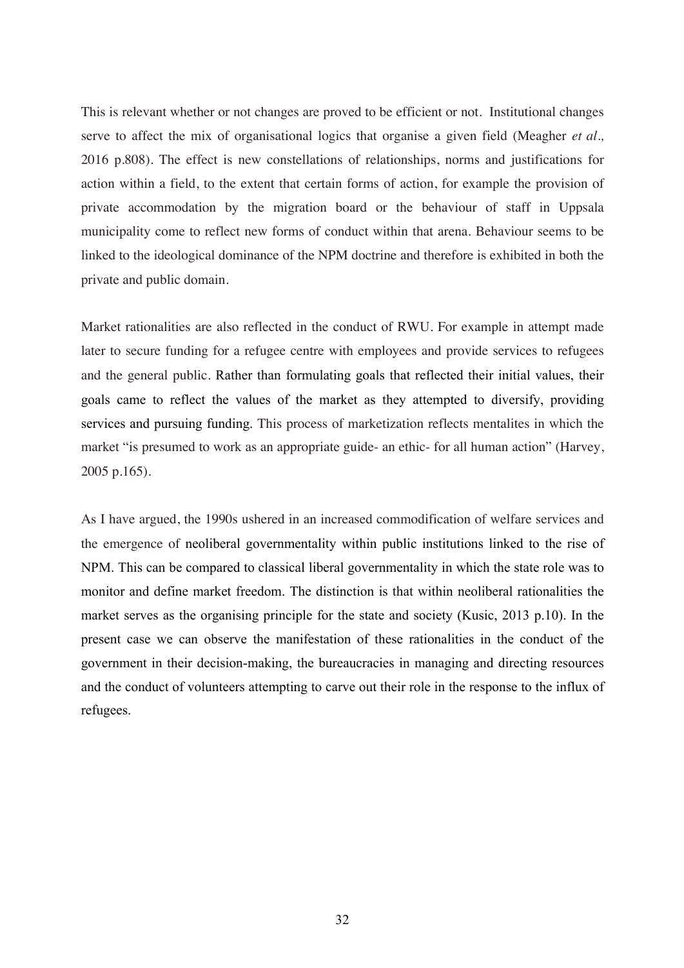This is relevant whether or not changes are proved to be efficient or not. Institutional changes serve to affect the mix of organisational logics that organise a given field (Meagher *et al.,*  2016 p.808). The effect is new constellations of relationships, norms and justifications for action within a field, to the extent that certain forms of action, for example the provision of private accommodation by the migration board or the behaviour of staff in Uppsala municipality come to reflect new forms of conduct within that arena. Behaviour seems to be linked to the ideological dominance of the NPM doctrine and therefore is exhibited in both the private and public domain.

Market rationalities are also reflected in the conduct of RWU. For example in attempt made later to secure funding for a refugee centre with employees and provide services to refugees and the general public. Rather than formulating goals that reflected their initial values, their goals came to reflect the values of the market as they attempted to diversify, providing services and pursuing funding. This process of marketization reflects mentalites in which the market "is presumed to work as an appropriate guide- an ethic- for all human action" (Harvey, 2005 p.165).

As I have argued, the 1990s ushered in an increased commodification of welfare services and the emergence of neoliberal governmentality within public institutions linked to the rise of NPM. This can be compared to classical liberal governmentality in which the state role was to monitor and define market freedom. The distinction is that within neoliberal rationalities the market serves as the organising principle for the state and society (Kusic, 2013 p.10). In the present case we can observe the manifestation of these rationalities in the conduct of the government in their decision-making, the bureaucracies in managing and directing resources and the conduct of volunteers attempting to carve out their role in the response to the influx of refugees.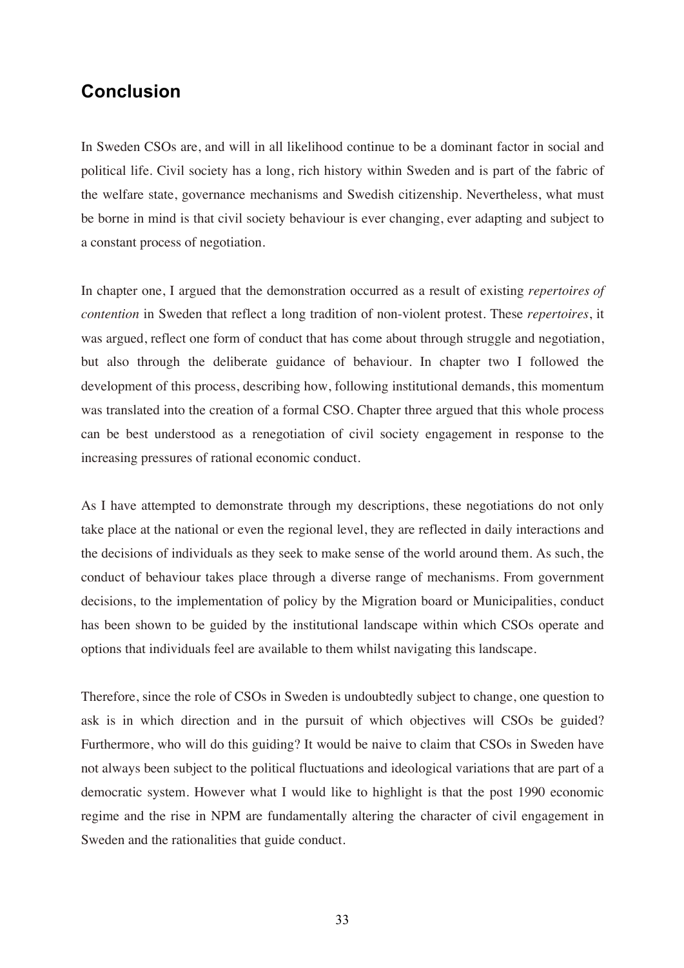## **Conclusion**

In Sweden CSOs are, and will in all likelihood continue to be a dominant factor in social and political life. Civil society has a long, rich history within Sweden and is part of the fabric of the welfare state, governance mechanisms and Swedish citizenship. Nevertheless, what must be borne in mind is that civil society behaviour is ever changing, ever adapting and subject to a constant process of negotiation.

In chapter one, I argued that the demonstration occurred as a result of existing *repertoires of contention* in Sweden that reflect a long tradition of non-violent protest. These *repertoires*, it was argued, reflect one form of conduct that has come about through struggle and negotiation, but also through the deliberate guidance of behaviour. In chapter two I followed the development of this process, describing how, following institutional demands, this momentum was translated into the creation of a formal CSO. Chapter three argued that this whole process can be best understood as a renegotiation of civil society engagement in response to the increasing pressures of rational economic conduct.

As I have attempted to demonstrate through my descriptions, these negotiations do not only take place at the national or even the regional level, they are reflected in daily interactions and the decisions of individuals as they seek to make sense of the world around them. As such, the conduct of behaviour takes place through a diverse range of mechanisms. From government decisions, to the implementation of policy by the Migration board or Municipalities, conduct has been shown to be guided by the institutional landscape within which CSOs operate and options that individuals feel are available to them whilst navigating this landscape.

Therefore, since the role of CSOs in Sweden is undoubtedly subject to change, one question to ask is in which direction and in the pursuit of which objectives will CSOs be guided? Furthermore, who will do this guiding? It would be naive to claim that CSOs in Sweden have not always been subject to the political fluctuations and ideological variations that are part of a democratic system. However what I would like to highlight is that the post 1990 economic regime and the rise in NPM are fundamentally altering the character of civil engagement in Sweden and the rationalities that guide conduct.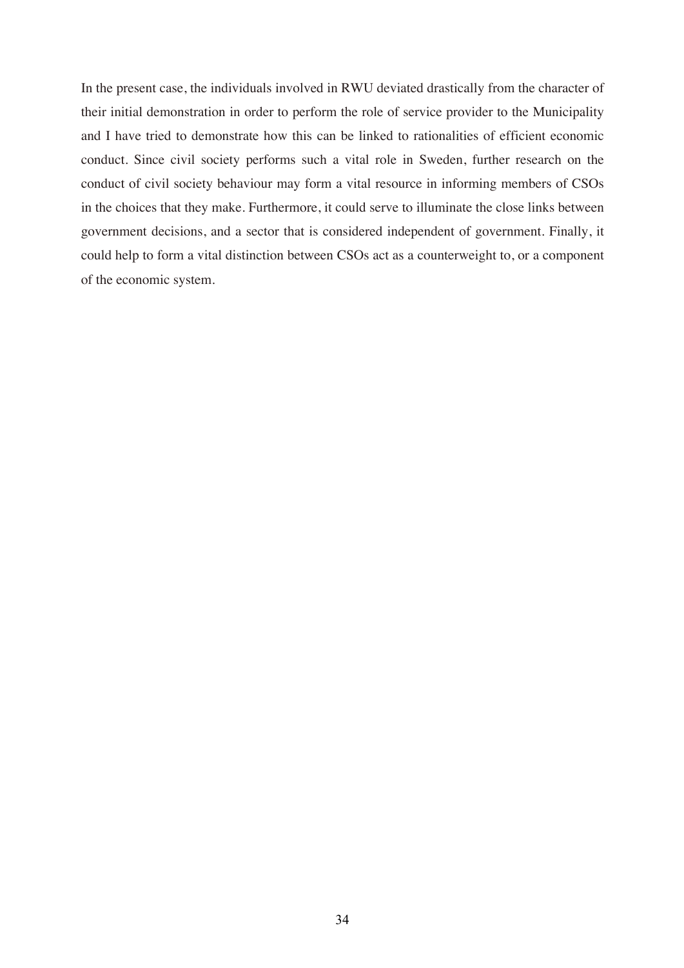In the present case, the individuals involved in RWU deviated drastically from the character of their initial demonstration in order to perform the role of service provider to the Municipality and I have tried to demonstrate how this can be linked to rationalities of efficient economic conduct. Since civil society performs such a vital role in Sweden, further research on the conduct of civil society behaviour may form a vital resource in informing members of CSOs in the choices that they make. Furthermore, it could serve to illuminate the close links between government decisions, and a sector that is considered independent of government. Finally, it could help to form a vital distinction between CSOs act as a counterweight to, or a component of the economic system.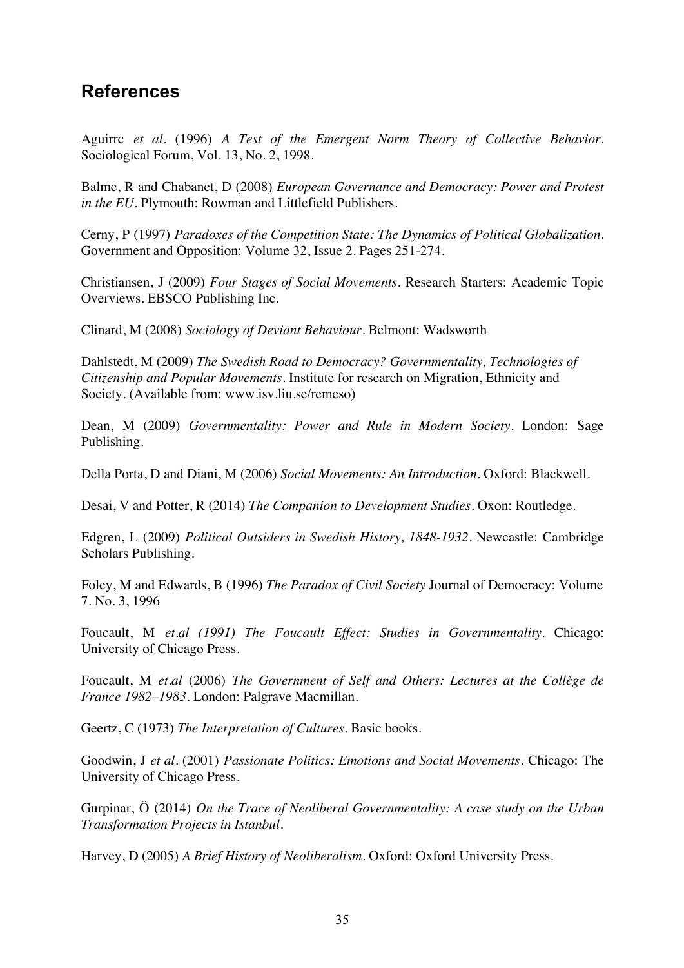# **References**

Aguirrc *et al.* (1996) *A Test of the Emergent Norm Theory of Collective Behavior*. Sociological Forum, Vol. 13, No. 2, 1998.

Balme, R and Chabanet, D (2008) *European Governance and Democracy: Power and Protest in the EU*. Plymouth: Rowman and Littlefield Publishers.

Cerny, P (1997) *Paradoxes of the Competition State: The Dynamics of Political Globalization.* Government and Opposition: Volume 32, Issue 2. Pages 251-274.

Christiansen, J (2009) *Four Stages of Social Movements*. Research Starters: Academic Topic Overviews. EBSCO Publishing Inc.

Clinard, M (2008) *Sociology of Deviant Behaviour.* Belmont: Wadsworth

Dahlstedt, M (2009) *The Swedish Road to Democracy? Governmentality, Technologies of Citizenship and Popular Movements.* Institute for research on Migration, Ethnicity and Society. (Available from: www.isv.liu.se/remeso)

Dean, M (2009) *Governmentality: Power and Rule in Modern Society.* London: Sage Publishing.

Della Porta, D and Diani, M (2006) *Social Movements: An Introduction.* Oxford: Blackwell.

Desai, V and Potter, R (2014) *The Companion to Development Studies.* Oxon: Routledge.

Edgren, L (2009) *Political Outsiders in Swedish History, 1848-1932.* Newcastle: Cambridge Scholars Publishing.

Foley, M and Edwards, B (1996) *The Paradox of Civil Society* Journal of Democracy: Volume 7. No. 3, 1996

Foucault, M *et.al (1991) The Foucault Effect: Studies in Governmentality.* Chicago: University of Chicago Press.

Foucault, M *et.al* (2006) *The Government of Self and Others: Lectures at the Collège de France 1982–1983.* London: Palgrave Macmillan.

Geertz, C (1973) *The Interpretation of Cultures.* Basic books.

Goodwin, J *et al.* (2001) *Passionate Politics: Emotions and Social Movements*. Chicago: The University of Chicago Press.

Gurpinar, Ö (2014) *On the Trace of Neoliberal Governmentality: A case study on the Urban Transformation Projects in Istanbul.* 

Harvey, D (2005) *A Brief History of Neoliberalism.* Oxford: Oxford University Press.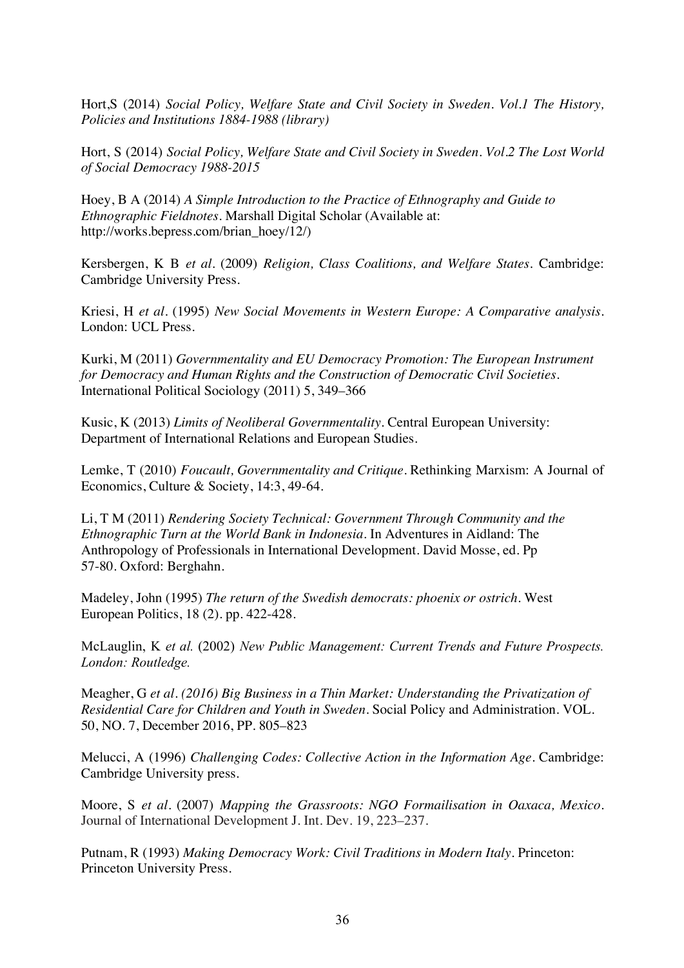Hort,S (2014) *Social Policy, Welfare State and Civil Society in Sweden. Vol.1 The History, Policies and Institutions 1884-1988 (library)*

Hort, S (2014) *Social Policy, Welfare State and Civil Society in Sweden. Vol.2 The Lost World of Social Democracy 1988-2015* 

Hoey, B A (2014) *A Simple Introduction to the Practice of Ethnography and Guide to Ethnographic Fieldnotes.* Marshall Digital Scholar (Available at: http://works.bepress.com/brian\_hoey/12/)

Kersbergen, K B *et al.* (2009) *Religion, Class Coalitions, and Welfare States*. Cambridge: Cambridge University Press.

Kriesi, H *et al.* (1995) *New Social Movements in Western Europe: A Comparative analysis.*  London: UCL Press.

Kurki, M (2011) *Governmentality and EU Democracy Promotion: The European Instrument for Democracy and Human Rights and the Construction of Democratic Civil Societies.*  International Political Sociology (2011) 5, 349–366

Kusic, K (2013) *Limits of Neoliberal Governmentality.* Central European University: Department of International Relations and European Studies.

Lemke, T (2010) *Foucault, Governmentality and Critique.* Rethinking Marxism: A Journal of Economics, Culture & Society, 14:3, 49-64.

Li, T M (2011) *Rendering Society Technical: Government Through Community and the Ethnographic Turn at the World Bank in Indonesia*. In Adventures in Aidland: The Anthropology of Professionals in International Development. David Mosse, ed. Pp 57-80. Oxford: Berghahn.

Madeley, John (1995) *The return of the Swedish democrats: phoenix or ostrich.* West European Politics, 18 (2). pp. 422-428.

McLauglin, K *et al.* (2002) *New Public Management: Current Trends and Future Prospects. London: Routledge.*

Meagher, G *et al. (2016) Big Business in a Thin Market: Understanding the Privatization of Residential Care for Children and Youth in Sweden*. Social Policy and Administration. VOL. 50, NO. 7, December 2016, PP. 805–823

Melucci, A (1996) *Challenging Codes: Collective Action in the Information Age.* Cambridge: Cambridge University press.

Moore, S *et al.* (2007) *Mapping the Grassroots: NGO Formailisation in Oaxaca, Mexico.*  Journal of International Development J. Int. Dev. 19, 223–237.

Putnam, R (1993) *Making Democracy Work: Civil Traditions in Modern Italy.* Princeton: Princeton University Press.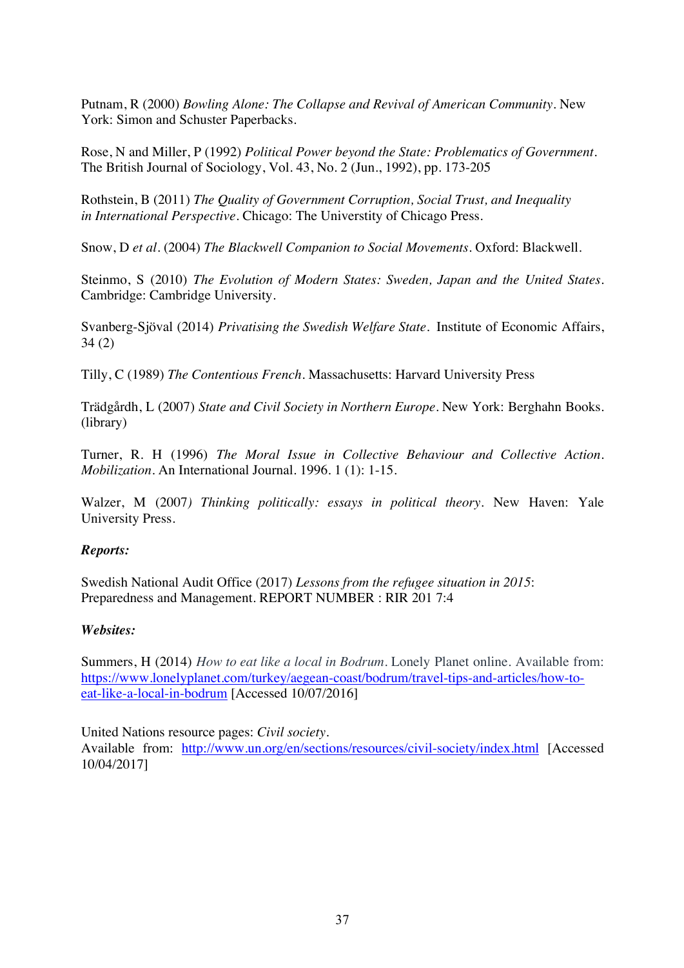Putnam, R (2000) *Bowling Alone: The Collapse and Revival of American Community.* New York: Simon and Schuster Paperbacks.

Rose, N and Miller, P (1992) *Political Power beyond the State: Problematics of Government.*  The British Journal of Sociology, Vol. 43, No. 2 (Jun., 1992), pp. 173-205

Rothstein, B (2011) *The Quality of Government Corruption, Social Trust, and Inequality in International Perspective.* Chicago: The Universtity of Chicago Press.

Snow, D *et al.* (2004) *The Blackwell Companion to Social Movements.* Oxford: Blackwell.

Steinmo, S (2010) *The Evolution of Modern States: Sweden, Japan and the United States.* Cambridge: Cambridge University.

Svanberg-Sjöval (2014) *Privatising the Swedish Welfare State.* Institute of Economic Affairs, 34 (2)

Tilly, C (1989) *The Contentious French.* Massachusetts: Harvard University Press

Trädgårdh, L (2007) *State and Civil Society in Northern Europe.* New York: Berghahn Books. (library)

Turner, R. H (1996) *The Moral Issue in Collective Behaviour and Collective Action. Mobilization*. An International Journal. 1996. 1 (1): 1-15.

Walzer, M (2007*) Thinking politically: essays in political theory*. New Haven: Yale University Press.

#### *Reports:*

Swedish National Audit Office (2017) *Lessons from the refugee situation in 2015*: Preparedness and Management. REPORT NUMBER : RIR 201 7:4

#### *Websites:*

Summers, H (2014) *How to eat like a local in Bodrum.* Lonely Planet online. Available from: https://www.lonelyplanet.com/turkey/aegean-coast/bodrum/travel-tips-and-articles/how-toeat-like-a-local-in-bodrum [Accessed 10/07/2016]

United Nations resource pages: *Civil society*. Available from: http://www.un.org/en/sections/resources/civil-society/index.html [Accessed 10/04/2017]